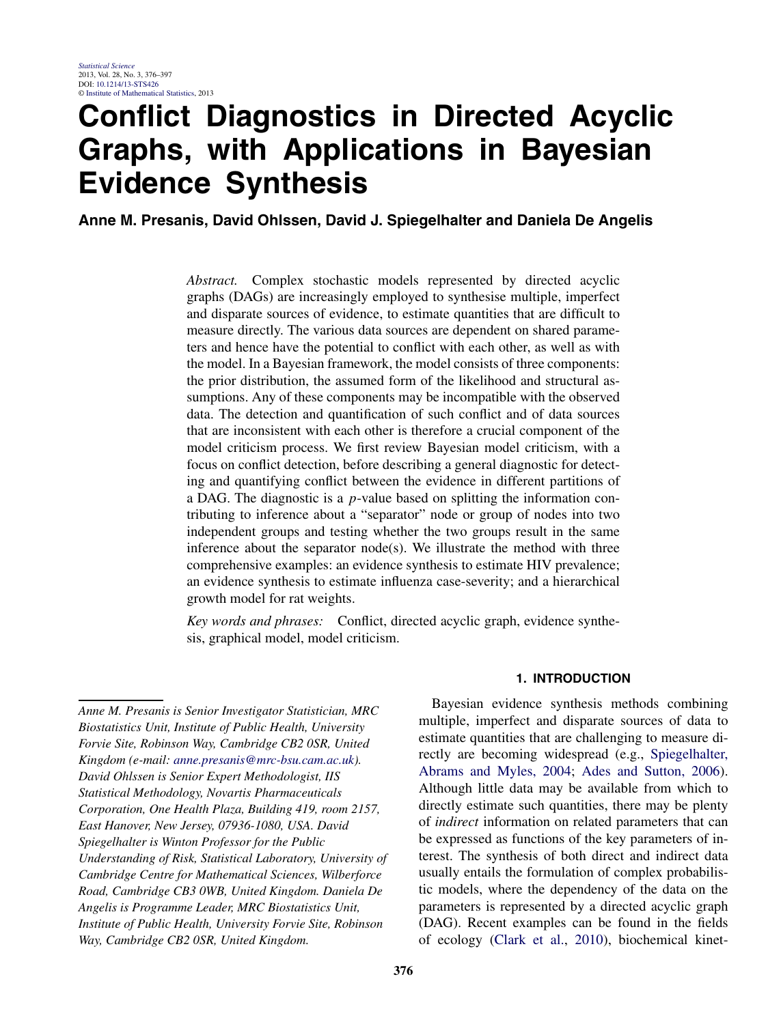# **Conflict Diagnostics in Directed Acyclic Graphs, with Applications in Bayesian Evidence Synthesis**

**Anne M. Presanis, David Ohlssen, David J. Spiegelhalter and Daniela De Angelis**

*Abstract.* Complex stochastic models represented by directed acyclic graphs (DAGs) are increasingly employed to synthesise multiple, imperfect and disparate sources of evidence, to estimate quantities that are difficult to measure directly. The various data sources are dependent on shared parameters and hence have the potential to conflict with each other, as well as with the model. In a Bayesian framework, the model consists of three components: the prior distribution, the assumed form of the likelihood and structural assumptions. Any of these components may be incompatible with the observed data. The detection and quantification of such conflict and of data sources that are inconsistent with each other is therefore a crucial component of the model criticism process. We first review Bayesian model criticism, with a focus on conflict detection, before describing a general diagnostic for detecting and quantifying conflict between the evidence in different partitions of a DAG. The diagnostic is a *p*-value based on splitting the information contributing to inference about a "separator" node or group of nodes into two independent groups and testing whether the two groups result in the same inference about the separator node(s). We illustrate the method with three comprehensive examples: an evidence synthesis to estimate HIV prevalence; an evidence synthesis to estimate influenza case-severity; and a hierarchical growth model for rat weights.

*Key words and phrases:* Conflict, directed acyclic graph, evidence synthesis, graphical model, model criticism.

#### **1. INTRODUCTION**

Bayesian evidence synthesis methods combining multiple, imperfect and disparate sources of data to estimate quantities that are challenging to measure directly are becoming widespread (e.g., [Spiegelhalter,](#page-21-0) [Abrams and Myles, 2004;](#page-21-0) [Ades and Sutton, 2006\)](#page-19-0). Although little data may be available from which to directly estimate such quantities, there may be plenty of *indirect* information on related parameters that can be expressed as functions of the key parameters of interest. The synthesis of both direct and indirect data usually entails the formulation of complex probabilistic models, where the dependency of the data on the parameters is represented by a directed acyclic graph (DAG). Recent examples can be found in the fields of ecology [\(Clark et al.,](#page-20-0) [2010\)](#page-20-0), biochemical kinet-

*Anne M. Presanis is Senior Investigator Statistician, MRC Biostatistics Unit, Institute of Public Health, University Forvie Site, Robinson Way, Cambridge CB2 0SR, United Kingdom (e-mail: [anne.presanis@mrc-bsu.cam.ac.uk\)](mailto:anne.presanis@mrc-bsu.cam.ac.uk). David Ohlssen is Senior Expert Methodologist, IIS Statistical Methodology, Novartis Pharmaceuticals Corporation, One Health Plaza, Building 419, room 2157, East Hanover, New Jersey, 07936-1080, USA. David Spiegelhalter is Winton Professor for the Public Understanding of Risk, Statistical Laboratory, University of Cambridge Centre for Mathematical Sciences, Wilberforce Road, Cambridge CB3 0WB, United Kingdom. Daniela De Angelis is Programme Leader, MRC Biostatistics Unit, Institute of Public Health, University Forvie Site, Robinson Way, Cambridge CB2 0SR, United Kingdom.*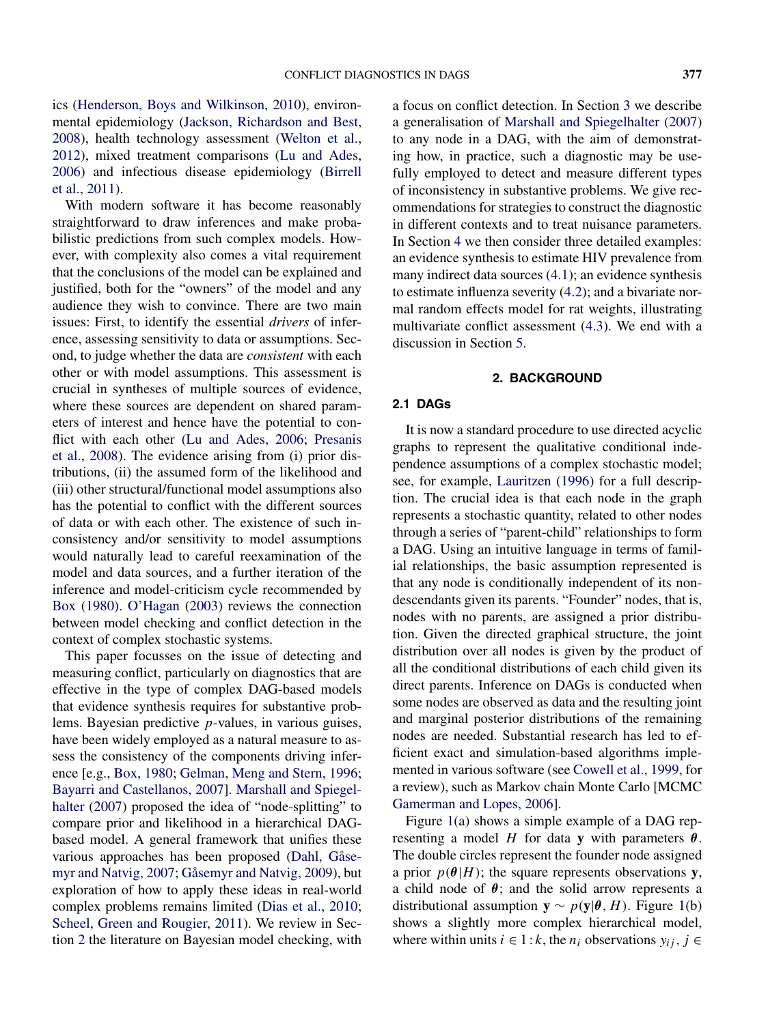ics [\(Henderson, Boys and Wilkinson,](#page-20-0) [2010\)](#page-20-0), environmental epidemiology [\(Jackson, Richardson and Best,](#page-20-0) [2008\)](#page-20-0), health technology assessment [\(Welton et al.,](#page-21-0) [2012\)](#page-21-0), mixed treatment comparisons [\(Lu and Ades,](#page-20-0) [2006\)](#page-20-0) and infectious disease epidemiology [\(Birrell](#page-19-0) [et al.,](#page-19-0) [2011\)](#page-19-0).

With modern software it has become reasonably straightforward to draw inferences and make probabilistic predictions from such complex models. However, with complexity also comes a vital requirement that the conclusions of the model can be explained and justified, both for the "owners" of the model and any audience they wish to convince. There are two main issues: First, to identify the essential *drivers* of inference, assessing sensitivity to data or assumptions. Second, to judge whether the data are *consistent* with each other or with model assumptions. This assessment is crucial in syntheses of multiple sources of evidence, where these sources are dependent on shared parameters of interest and hence have the potential to conflict with each other [\(Lu and Ades, 2006;](#page-20-0) [Presanis](#page-20-0) [et al., 2008\)](#page-20-0). The evidence arising from (i) prior distributions, (ii) the assumed form of the likelihood and (iii) other structural/functional model assumptions also has the potential to conflict with the different sources of data or with each other. The existence of such inconsistency and/or sensitivity to model assumptions would naturally lead to careful reexamination of the model and data sources, and a further iteration of the inference and model-criticism cycle recommended by [Box](#page-19-0) [\(1980\)](#page-19-0). [O'Hagan](#page-20-0) [\(2003\)](#page-20-0) reviews the connection between model checking and conflict detection in the context of complex stochastic systems.

This paper focusses on the issue of detecting and measuring conflict, particularly on diagnostics that are effective in the type of complex DAG-based models that evidence synthesis requires for substantive problems. Bayesian predictive *p*-values, in various guises, have been widely employed as a natural measure to assess the consistency of the components driving inference [e.g., [Box, 1980;](#page-19-0) [Gelman, Meng and Stern, 1996;](#page-20-0) [Bayarri and Castellanos, 2007\]](#page-19-0). [Marshall and Spiegel](#page-20-0)[halter](#page-20-0) [\(2007\)](#page-20-0) proposed the idea of "node-splitting" to compare prior and likelihood in a hierarchical DAGbased model. A general framework that unifies these various approaches has been proposed [\(Dahl, Gåse](#page-20-0)[myr and Natvig, 2007;](#page-20-0) [Gåsemyr and Natvig, 2009\)](#page-20-0), but exploration of how to apply these ideas in real-world complex problems remains limited [\(Dias et al., 2010;](#page-20-0) [Scheel, Green and Rougier, 2011\)](#page-21-0). We review in Section 2 the literature on Bayesian model checking, with

a focus on conflict detection. In Section [3](#page-6-0) we describe a generalisation of [Marshall and Spiegelhalter](#page-20-0) [\(2007\)](#page-20-0) to any node in a DAG, with the aim of demonstrating how, in practice, such a diagnostic may be usefully employed to detect and measure different types of inconsistency in substantive problems. We give recommendations for strategies to construct the diagnostic in different contexts and to treat nuisance parameters. In Section [4](#page-8-0) we then consider three detailed examples: an evidence synthesis to estimate HIV prevalence from many indirect data sources [\(4.1\)](#page-9-0); an evidence synthesis to estimate influenza severity [\(4.2\)](#page-9-0); and a bivariate normal random effects model for rat weights, illustrating multivariate conflict assessment [\(4.3\)](#page-12-0). We end with a discussion in Section [5.](#page-16-0)

#### **2. BACKGROUND**

# **2.1 DAGs**

It is now a standard procedure to use directed acyclic graphs to represent the qualitative conditional independence assumptions of a complex stochastic model; see, for example, [Lauritzen](#page-20-0) [\(1996\)](#page-20-0) for a full description. The crucial idea is that each node in the graph represents a stochastic quantity, related to other nodes through a series of "parent-child" relationships to form a DAG. Using an intuitive language in terms of familial relationships, the basic assumption represented is that any node is conditionally independent of its nondescendants given its parents. "Founder" nodes, that is, nodes with no parents, are assigned a prior distribution. Given the directed graphical structure, the joint distribution over all nodes is given by the product of all the conditional distributions of each child given its direct parents. Inference on DAGs is conducted when some nodes are observed as data and the resulting joint and marginal posterior distributions of the remaining nodes are needed. Substantial research has led to efficient exact and simulation-based algorithms implemented in various software (see [Cowell et al., 1999,](#page-20-0) for a review), such as Markov chain Monte Carlo [MCMC [Gamerman and Lopes, 2006\]](#page-20-0).

Figure [1\(](#page-2-0)a) shows a simple example of a DAG representing a model *H* for data **y** with parameters  $\theta$ . The double circles represent the founder node assigned a prior  $p(\theta|H)$ ; the square represents observations **y**, a child node of  $\theta$ ; and the solid arrow represents a distributional assumption **y** ∼  $p(y|\theta, H)$ . Figure [1\(](#page-2-0)b) shows a slightly more complex hierarchical model, where within units  $i \in 1 : k$ , the  $n_i$  observations  $y_{ij}$ ,  $j \in$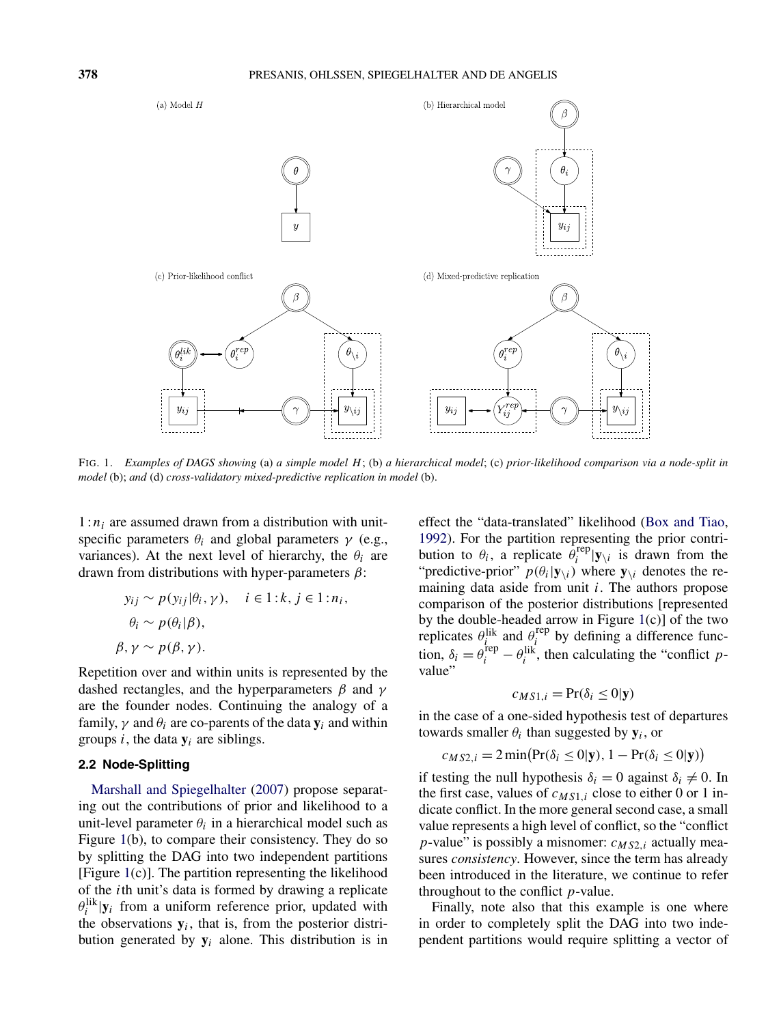<span id="page-2-0"></span>

FIG. 1. *Examples of DAGS showing* (a) *a simple model H*; (b) *a hierarchical model*; (c) *prior-likelihood comparison via a node-split in model* (b); *and* (d) *cross-validatory mixed-predictive replication in model* (b).

 $1:n_i$  are assumed drawn from a distribution with unitspecific parameters  $\theta_i$  and global parameters  $\gamma$  (e.g., variances). At the next level of hierarchy, the  $\theta_i$  are drawn from distributions with hyper-parameters *β*:

$$
y_{ij} \sim p(y_{ij}|\theta_i, \gamma), \quad i \in 1: k, j \in 1: n_i,
$$
  
\n
$$
\theta_i \sim p(\theta_i|\beta),
$$
  
\n
$$
\beta, \gamma \sim p(\beta, \gamma).
$$

Repetition over and within units is represented by the dashed rectangles, and the hyperparameters *β* and *γ* are the founder nodes. Continuing the analogy of a family,  $\gamma$  and  $\theta_i$  are co-parents of the data  $\mathbf{y}_i$  and within groups *i*, the data  $y_i$  are siblings.

#### **2.2 Node-Splitting**

[Marshall and Spiegelhalter](#page-20-0) [\(2007\)](#page-20-0) propose separating out the contributions of prior and likelihood to a unit-level parameter  $\theta_i$  in a hierarchical model such as Figure 1(b), to compare their consistency. They do so by splitting the DAG into two independent partitions [Figure 1(c)]. The partition representing the likelihood of the *i*th unit's data is formed by drawing a replicate  $\theta_i^{\text{lik}} | \mathbf{y}_i$  from a uniform reference prior, updated with the observations  $y_i$ , that is, from the posterior distribution generated by  $y_i$  alone. This distribution is in effect the "data-translated" likelihood [\(Box and Tiao,](#page-19-0) [1992\)](#page-19-0). For the partition representing the prior contribution to  $\theta_i$ , a replicate  $\theta_i^{\text{rep}}|y_{\backslash i}|$  is drawn from the "predictive-prior"  $p(\theta_i|\mathbf{y}_{\setminus i})$  where  $\mathbf{y}_{\setminus i}$  denotes the remaining data aside from unit *i*. The authors propose comparison of the posterior distributions [represented by the double-headed arrow in Figure 1(c)] of the two replicates  $\theta_{i}^{\text{lik}}$  and  $\theta_{i}^{\text{rep}}$  by defining a difference function,  $\delta_i = \theta_i^{\text{rep}} - \theta_i^{\text{lik}}$ , then calculating the "conflict *p*value"

$$
c_{MS1,i} = \Pr(\delta_i \le 0 | \mathbf{y})
$$

in the case of a one-sided hypothesis test of departures towards smaller  $\theta_i$  than suggested by  $y_i$ , or

$$
c_{MS2,i} = 2\min(\Pr(\delta_i \le 0|\mathbf{y}), 1 - \Pr(\delta_i \le 0|\mathbf{y}))
$$

if testing the null hypothesis  $\delta_i = 0$  against  $\delta_i \neq 0$ . In the first case, values of  $c_{MS1,i}$  close to either 0 or 1 indicate conflict. In the more general second case, a small value represents a high level of conflict, so the "conflict  $p$ -value" is possibly a misnomer:  $c_{MS2,i}$  actually measures *consistency*. However, since the term has already been introduced in the literature, we continue to refer throughout to the conflict *p*-value.

Finally, note also that this example is one where in order to completely split the DAG into two independent partitions would require splitting a vector of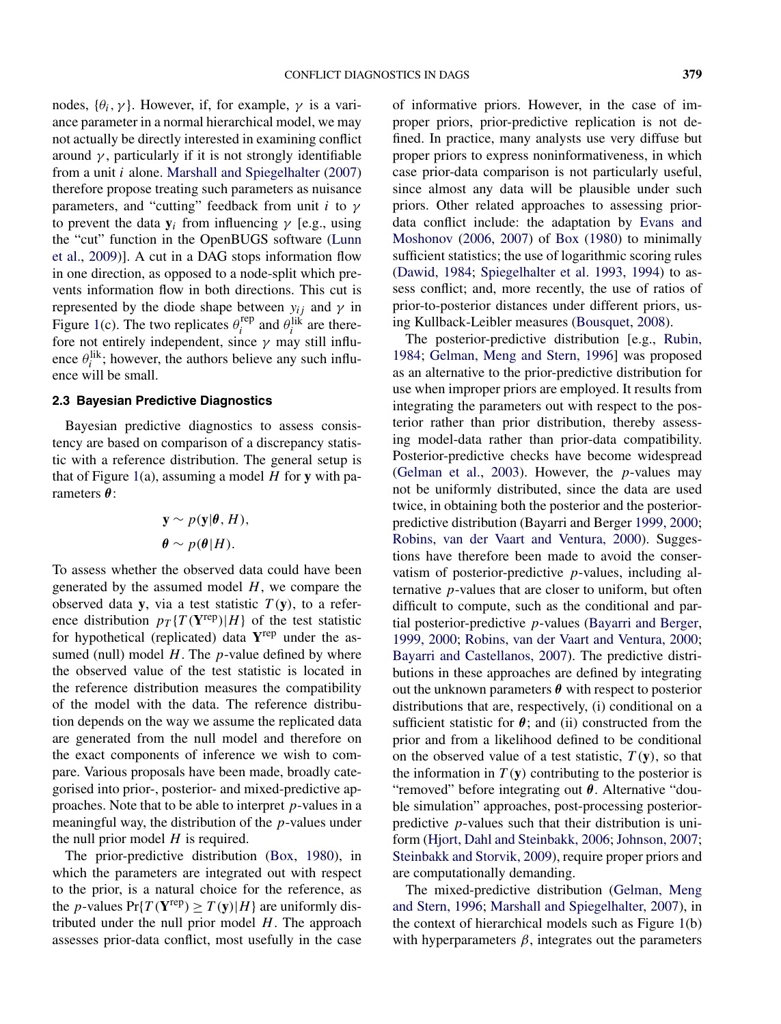<span id="page-3-0"></span>nodes,  $\{\theta_i, \gamma\}$ . However, if, for example,  $\gamma$  is a variance parameter in a normal hierarchical model, we may not actually be directly interested in examining conflict around  $\gamma$ , particularly if it is not strongly identifiable from a unit *i* alone. [Marshall and Spiegelhalter](#page-20-0) [\(2007\)](#page-20-0) therefore propose treating such parameters as nuisance parameters, and "cutting" feedback from unit *i* to *γ* to prevent the data  $\mathbf{y}_i$  from influencing  $\gamma$  [e.g., using the "cut" function in the OpenBUGS software [\(Lunn](#page-20-0) [et al.,](#page-20-0) [2009\)](#page-20-0)]. A cut in a DAG stops information flow in one direction, as opposed to a node-split which prevents information flow in both directions. This cut is represented by the diode shape between  $y_{ij}$  and  $\gamma$  in Figure [1\(](#page-2-0)c). The two replicates  $\theta_i^{\text{rep}}$  and  $\theta_i^{\text{lik}}$  are therefore not entirely independent, since  $\gamma$  may still influence  $\theta_i^{\text{lik}}$ ; however, the authors believe any such influence will be small.

#### **2.3 Bayesian Predictive Diagnostics**

Bayesian predictive diagnostics to assess consistency are based on comparison of a discrepancy statistic with a reference distribution. The general setup is that of Figure [1\(](#page-2-0)a), assuming a model *H* for **y** with parameters *θ* :

$$
\mathbf{y} \sim p(\mathbf{y}|\boldsymbol{\theta}, H),
$$

$$
\boldsymbol{\theta} \sim p(\boldsymbol{\theta}|H).
$$

To assess whether the observed data could have been generated by the assumed model *H*, we compare the observed data **y**, via a test statistic  $T(y)$ , to a reference distribution  $p_T\{T(\mathbf{Y}^{\text{rep}})|H\}$  of the test statistic for hypothetical (replicated) data **Y**rep under the assumed (null) model *H*. The *p*-value defined by where the observed value of the test statistic is located in the reference distribution measures the compatibility of the model with the data. The reference distribution depends on the way we assume the replicated data are generated from the null model and therefore on the exact components of inference we wish to compare. Various proposals have been made, broadly categorised into prior-, posterior- and mixed-predictive approaches. Note that to be able to interpret *p*-values in a meaningful way, the distribution of the *p*-values under the null prior model *H* is required.

The prior-predictive distribution [\(Box,](#page-19-0) [1980\)](#page-19-0), in which the parameters are integrated out with respect to the prior, is a natural choice for the reference, as the *p*-values  $Pr\{T(\mathbf{Y}^{\text{rep}}) \geq T(\mathbf{y}) | H\}$  are uniformly distributed under the null prior model *H*. The approach assesses prior-data conflict, most usefully in the case

of informative priors. However, in the case of improper priors, prior-predictive replication is not defined. In practice, many analysts use very diffuse but proper priors to express noninformativeness, in which case prior-data comparison is not particularly useful, since almost any data will be plausible under such priors. Other related approaches to assessing priordata conflict include: the adaptation by [Evans and](#page-20-0) [Moshonov](#page-20-0) [\(2006, 2007\)](#page-20-0) of [Box](#page-19-0) [\(1980\)](#page-19-0) to minimally sufficient statistics; the use of logarithmic scoring rules [\(Dawid, 1984;](#page-20-0) [Spiegelhalter et al. 1993, 1994\)](#page-21-0) to assess conflict; and, more recently, the use of ratios of prior-to-posterior distances under different priors, using Kullback-Leibler measures [\(Bousquet,](#page-19-0) [2008\)](#page-19-0).

The posterior-predictive distribution [e.g., [Rubin,](#page-21-0) [1984;](#page-21-0) [Gelman, Meng and Stern, 1996\]](#page-20-0) was proposed as an alternative to the prior-predictive distribution for use when improper priors are employed. It results from integrating the parameters out with respect to the posterior rather than prior distribution, thereby assessing model-data rather than prior-data compatibility. Posterior-predictive checks have become widespread [\(Gelman et al.,](#page-20-0) [2003\)](#page-20-0). However, the *p*-values may not be uniformly distributed, since the data are used twice, in obtaining both the posterior and the posteriorpredictive distribution (Bayarri and Berger [1999, 2000;](#page-19-0) [Robins, van der Vaart and Ventura, 2000\)](#page-21-0). Suggestions have therefore been made to avoid the conservatism of posterior-predictive *p*-values, including alternative *p*-values that are closer to uniform, but often difficult to compute, such as the conditional and partial posterior-predictive *p*-values [\(Bayarri and Berger,](#page-19-0) [1999, 2000;](#page-19-0) [Robins, van der Vaart and Ventura, 2000;](#page-21-0) [Bayarri and Castellanos, 2007\)](#page-19-0). The predictive distributions in these approaches are defined by integrating out the unknown parameters  $\theta$  with respect to posterior distributions that are, respectively, (i) conditional on a sufficient statistic for  $\theta$ ; and (ii) constructed from the prior and from a likelihood defined to be conditional on the observed value of a test statistic,  $T(y)$ , so that the information in  $T(y)$  contributing to the posterior is "removed" before integrating out *θ*. Alternative "double simulation" approaches, post-processing posteriorpredictive *p*-values such that their distribution is uniform [\(Hjort, Dahl and Steinbakk, 2006;](#page-20-0) [Johnson, 2007;](#page-20-0) [Steinbakk and Storvik, 2009\)](#page-21-0), require proper priors and are computationally demanding.

The mixed-predictive distribution [\(Gelman, Meng](#page-20-0) [and Stern, 1996;](#page-20-0) [Marshall and Spiegelhalter, 2007\)](#page-20-0), in the context of hierarchical models such as Figure [1\(](#page-2-0)b) with hyperparameters  $\beta$ , integrates out the parameters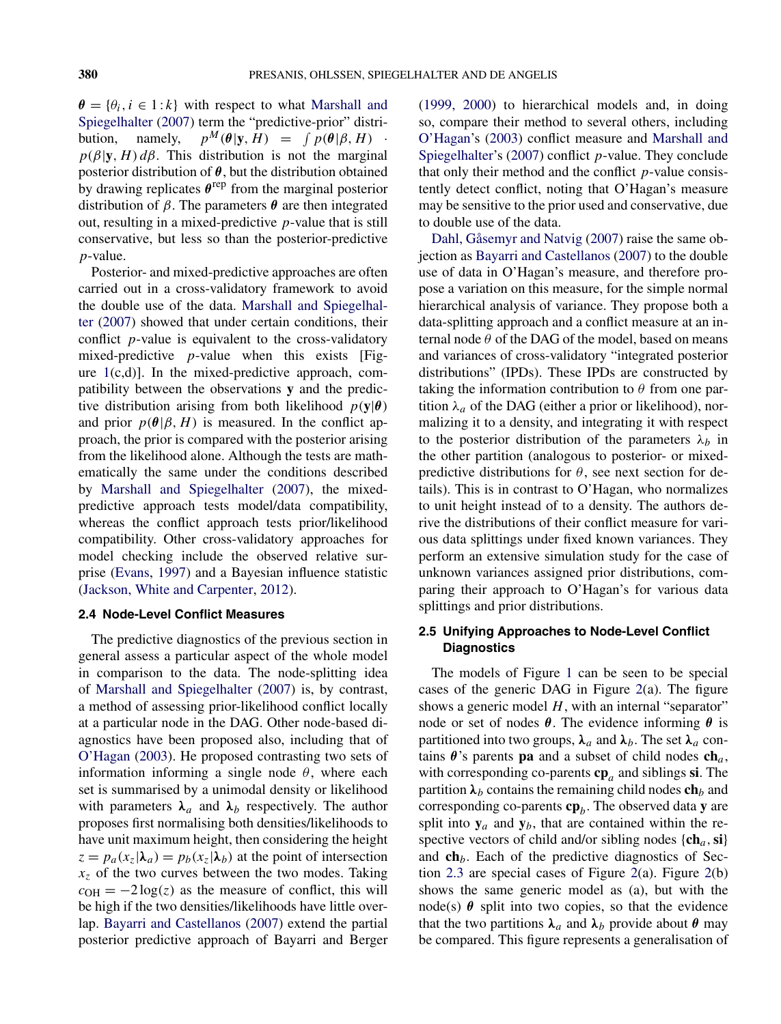$\theta = \{\theta_i, i \in 1 : k\}$  with respect to what [Marshall and](#page-20-0) [Spiegelhalter](#page-20-0) [\(2007\)](#page-20-0) term the "predictive-prior" distribution, namely,  $p^M(\theta | y, H) = \int p(\theta | \beta, H)$  $p(\beta | y, H) d\beta$ . This distribution is not the marginal posterior distribution of  $\theta$ , but the distribution obtained by drawing replicates  $\theta^{\text{rep}}$  from the marginal posterior distribution of *β*. The parameters *θ* are then integrated out, resulting in a mixed-predictive *p*-value that is still conservative, but less so than the posterior-predictive *p*-value.

Posterior- and mixed-predictive approaches are often carried out in a cross-validatory framework to avoid the double use of the data. [Marshall and Spiegelhal](#page-20-0)[ter](#page-20-0) [\(2007\)](#page-20-0) showed that under certain conditions, their conflict *p*-value is equivalent to the cross-validatory mixed-predictive *p*-value when this exists [Figure  $1(c,d)$  $1(c,d)$ ]. In the mixed-predictive approach, compatibility between the observations **y** and the predictive distribution arising from both likelihood  $p(y|\theta)$ and prior  $p(\theta|\beta, H)$  is measured. In the conflict approach, the prior is compared with the posterior arising from the likelihood alone. Although the tests are mathematically the same under the conditions described by [Marshall and Spiegelhalter](#page-20-0) [\(2007\)](#page-20-0), the mixedpredictive approach tests model/data compatibility, whereas the conflict approach tests prior/likelihood compatibility. Other cross-validatory approaches for model checking include the observed relative surprise [\(Evans,](#page-20-0) [1997\)](#page-20-0) and a Bayesian influence statistic [\(Jackson, White and Carpenter,](#page-20-0) [2012\)](#page-20-0).

#### **2.4 Node-Level Conflict Measures**

The predictive diagnostics of the previous section in general assess a particular aspect of the whole model in comparison to the data. The node-splitting idea of [Marshall and Spiegelhalter](#page-20-0) [\(2007\)](#page-20-0) is, by contrast, a method of assessing prior-likelihood conflict locally at a particular node in the DAG. Other node-based diagnostics have been proposed also, including that of [O'Hagan](#page-20-0) [\(2003\)](#page-20-0). He proposed contrasting two sets of information informing a single node  $\theta$ , where each set is summarised by a unimodal density or likelihood with parameters  $\lambda_a$  and  $\lambda_b$  respectively. The author proposes first normalising both densities/likelihoods to have unit maximum height, then considering the height  $z = p_a(x_z|\lambda_a) = p_b(x_z|\lambda_b)$  at the point of intersection  $x<sub>z</sub>$  of the two curves between the two modes. Taking  $c_{OH} = -2 \log(z)$  as the measure of conflict, this will be high if the two densities/likelihoods have little overlap. [Bayarri and Castellanos](#page-19-0) [\(2007\)](#page-19-0) extend the partial posterior predictive approach of Bayarri and Berger

[\(1999, 2000\)](#page-19-0) to hierarchical models and, in doing so, compare their method to several others, including [O'Hagan'](#page-20-0)s [\(2003\)](#page-20-0) conflict measure and [Marshall and](#page-20-0) [Spiegelhalter'](#page-20-0)s [\(2007\)](#page-20-0) conflict *p*-value. They conclude that only their method and the conflict *p*-value consistently detect conflict, noting that O'Hagan's measure may be sensitive to the prior used and conservative, due to double use of the data.

[Dahl, Gåsemyr and Natvig](#page-20-0) [\(2007\)](#page-20-0) raise the same objection as [Bayarri and Castellanos](#page-19-0) [\(2007\)](#page-19-0) to the double use of data in O'Hagan's measure, and therefore propose a variation on this measure, for the simple normal hierarchical analysis of variance. They propose both a data-splitting approach and a conflict measure at an internal node *θ* of the DAG of the model, based on means and variances of cross-validatory "integrated posterior distributions" (IPDs). These IPDs are constructed by taking the information contribution to *θ* from one partition  $\lambda_a$  of the DAG (either a prior or likelihood), normalizing it to a density, and integrating it with respect to the posterior distribution of the parameters  $\lambda_b$  in the other partition (analogous to posterior- or mixedpredictive distributions for  $\theta$ , see next section for details). This is in contrast to O'Hagan, who normalizes to unit height instead of to a density. The authors derive the distributions of their conflict measure for various data splittings under fixed known variances. They perform an extensive simulation study for the case of unknown variances assigned prior distributions, comparing their approach to O'Hagan's for various data splittings and prior distributions.

# **2.5 Unifying Approaches to Node-Level Conflict Diagnostics**

The models of Figure [1](#page-2-0) can be seen to be special cases of the generic DAG in Figure  $2(a)$  $2(a)$ . The figure shows a generic model *H*, with an internal "separator" node or set of nodes *θ*. The evidence informing *θ* is partitioned into two groups,  $\lambda_a$  and  $\lambda_b$ . The set  $\lambda_a$  contains  $\theta$ 's parents **pa** and a subset of child nodes  $ch_a$ , with corresponding co-parents **cp***<sup>a</sup>* and siblings **si**. The partition  $\lambda_b$  contains the remaining child nodes  $ch_b$  and corresponding co-parents **cp***b*. The observed data **y** are split into  $y_a$  and  $y_b$ , that are contained within the respective vectors of child and/or sibling nodes {**ch***a,***si**} and **ch***b*. Each of the predictive diagnostics of Section [2.3](#page-3-0) are special cases of Figure [2\(](#page-5-0)a). Figure [2\(](#page-5-0)b) shows the same generic model as (a), but with the node(s)  $\theta$  split into two copies, so that the evidence that the two partitions  $\lambda_a$  and  $\lambda_b$  provide about  $\theta$  may be compared. This figure represents a generalisation of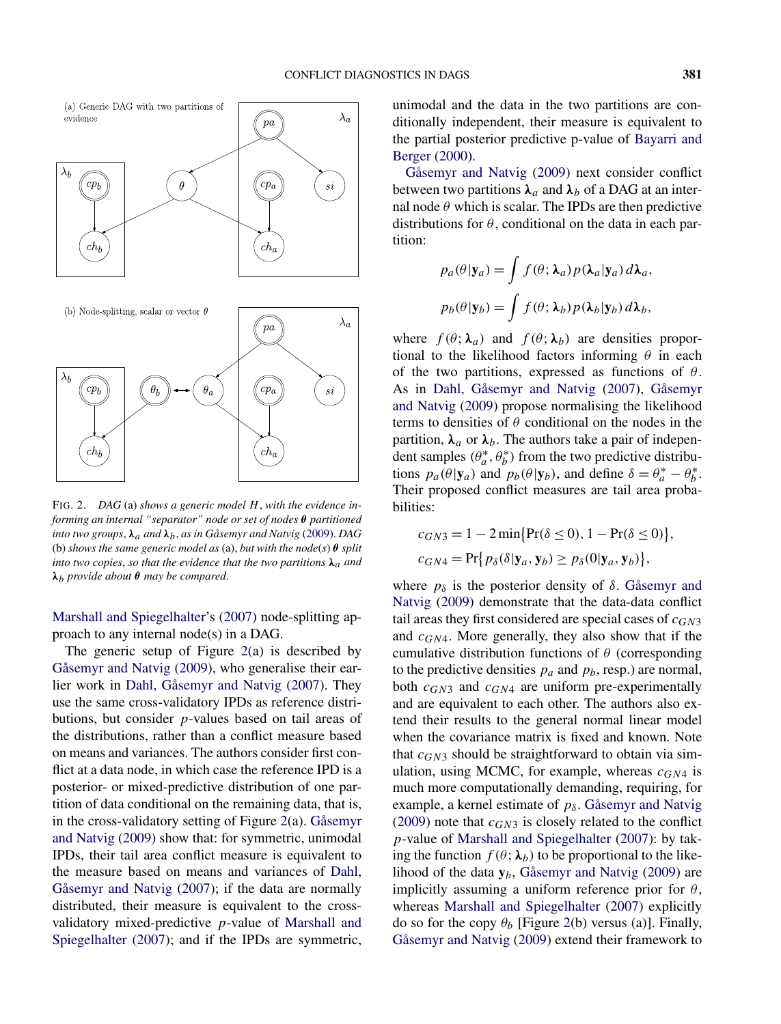<span id="page-5-0"></span>

FIG. 2. *DAG* (a) *shows a generic model H*, *with the evidence informing an internal "separator" node or set of nodes θ partitioned into two groups*, *λa and λb*, *as in Gåsemyr and Natvig* [\(2009\)](#page-20-0). *DAG* (b) *shows the same generic model as* (a), *but with the node*(*s*) *θ split into two copies*, *so that the evidence that the two partitions λa and λb provide about θ may be compared*.

[Marshall and Spiegelhalter'](#page-20-0)s [\(2007\)](#page-20-0) node-splitting approach to any internal node(s) in a DAG.

The generic setup of Figure 2(a) is described by [Gåsemyr and Natvig](#page-20-0) [\(2009\)](#page-20-0), who generalise their earlier work in [Dahl, Gåsemyr and Natvig](#page-20-0) [\(2007\)](#page-20-0). They use the same cross-validatory IPDs as reference distributions, but consider *p*-values based on tail areas of the distributions, rather than a conflict measure based on means and variances. The authors consider first conflict at a data node, in which case the reference IPD is a posterior- or mixed-predictive distribution of one partition of data conditional on the remaining data, that is, in the cross-validatory setting of Figure 2(a). [Gåsemyr](#page-20-0) [and Natvig](#page-20-0) [\(2009\)](#page-20-0) show that: for symmetric, unimodal IPDs, their tail area conflict measure is equivalent to the measure based on means and variances of [Dahl,](#page-20-0) [Gåsemyr and Natvig](#page-20-0) [\(2007\)](#page-20-0); if the data are normally distributed, their measure is equivalent to the crossvalidatory mixed-predictive *p*-value of [Marshall and](#page-20-0) [Spiegelhalter](#page-20-0) [\(2007\)](#page-20-0); and if the IPDs are symmetric,

unimodal and the data in the two partitions are conditionally independent, their measure is equivalent to the partial posterior predictive p-value of [Bayarri and](#page-19-0) [Berger](#page-19-0) [\(2000\)](#page-19-0).

[Gåsemyr and Natvig](#page-20-0) [\(2009\)](#page-20-0) next consider conflict between two partitions  $\lambda_a$  and  $\lambda_b$  of a DAG at an internal node  $\theta$  which is scalar. The IPDs are then predictive distributions for  $\theta$ , conditional on the data in each partition:

$$
p_a(\theta|\mathbf{y}_a) = \int f(\theta; \lambda_a) p(\lambda_a|\mathbf{y}_a) d\lambda_a,
$$
  

$$
p_b(\theta|\mathbf{y}_b) = \int f(\theta; \lambda_b) p(\lambda_b|\mathbf{y}_b) d\lambda_b,
$$

where  $f(\theta; \lambda_a)$  and  $f(\theta; \lambda_b)$  are densities proportional to the likelihood factors informing *θ* in each of the two partitions, expressed as functions of  $\theta$ . As in [Dahl, Gåsemyr and Natvig](#page-20-0) [\(2007\)](#page-20-0), [Gåsemyr](#page-20-0) [and Natvig](#page-20-0) [\(2009\)](#page-20-0) propose normalising the likelihood terms to densities of *θ* conditional on the nodes in the partition,  $\lambda_a$  or  $\lambda_b$ . The authors take a pair of independent samples  $(\theta_a^*, \theta_b^*)$  from the two predictive distributions  $p_a(\theta | \mathbf{y}_a)$  and  $p_b(\theta | \mathbf{y}_b)$ , and define  $\delta = \theta_a^* - \theta_b^*$ . Their proposed conflict measures are tail area probabilities:

$$
c_{GN3} = 1 - 2 \min\{ \Pr(\delta \le 0), 1 - \Pr(\delta \le 0) \},
$$
  

$$
c_{GN4} = \Pr\{ p_{\delta}(\delta | \mathbf{y}_a, \mathbf{y}_b) \ge p_{\delta}(0 | \mathbf{y}_a, \mathbf{y}_b) \},
$$

where  $p_{\delta}$  is the posterior density of  $\delta$ . [Gåsemyr and](#page-20-0) [Natvig](#page-20-0) [\(2009\)](#page-20-0) demonstrate that the data-data conflict tail areas they first considered are special cases of *cGN*<sup>3</sup> and *cGN*4. More generally, they also show that if the cumulative distribution functions of *θ* (corresponding to the predictive densities  $p_a$  and  $p_b$ , resp.) are normal, both *cGN*<sup>3</sup> and *cGN*<sup>4</sup> are uniform pre-experimentally and are equivalent to each other. The authors also extend their results to the general normal linear model when the covariance matrix is fixed and known. Note that *cGN*<sup>3</sup> should be straightforward to obtain via simulation, using MCMC, for example, whereas *cGN*<sup>4</sup> is much more computationally demanding, requiring, for example, a kernel estimate of  $p_{\delta}$ . [Gåsemyr and Natvig](#page-20-0)  $(2009)$  note that  $c_{GN3}$  is closely related to the conflict *p*-value of [Marshall and Spiegelhalter](#page-20-0) [\(2007\)](#page-20-0): by taking the function  $f(\theta; \lambda_b)$  to be proportional to the likelihood of the data **y***b*, [Gåsemyr and Natvig](#page-20-0) [\(2009\)](#page-20-0) are implicitly assuming a uniform reference prior for *θ*, whereas [Marshall and Spiegelhalter](#page-20-0) [\(2007\)](#page-20-0) explicitly do so for the copy  $\theta_b$  [Figure 2(b) versus (a)]. Finally, [Gåsemyr and Natvig](#page-20-0) [\(2009\)](#page-20-0) extend their framework to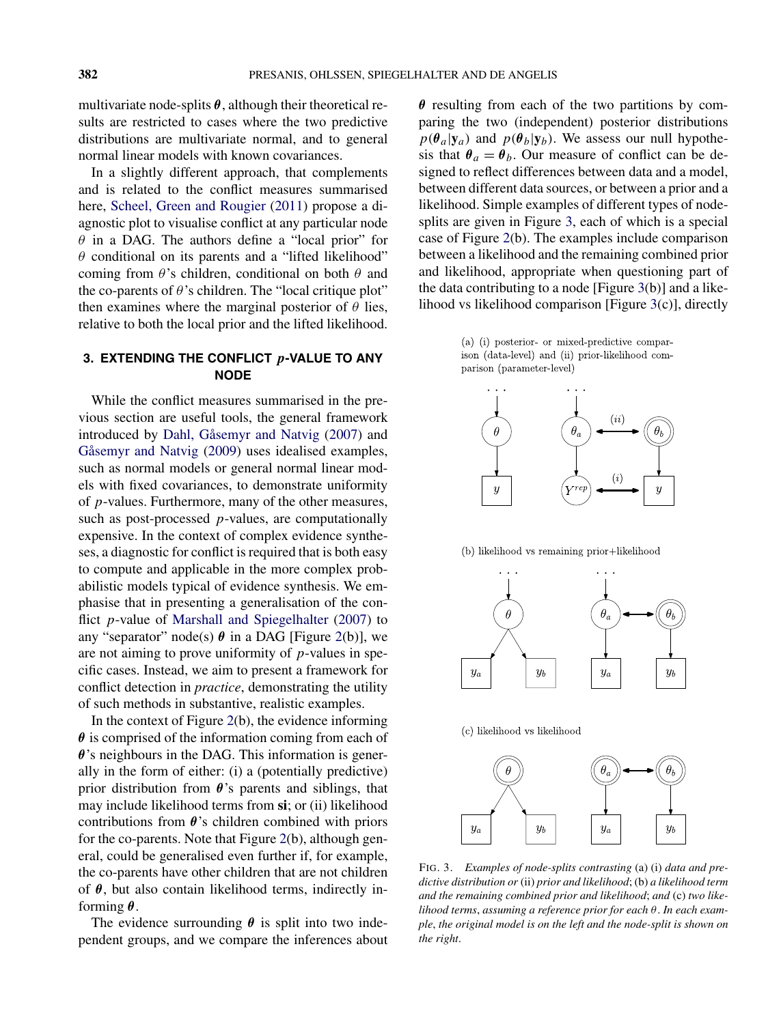<span id="page-6-0"></span>multivariate node-splits  $\theta$ , although their theoretical results are restricted to cases where the two predictive distributions are multivariate normal, and to general normal linear models with known covariances.

In a slightly different approach, that complements and is related to the conflict measures summarised here, [Scheel, Green and Rougier](#page-21-0) [\(2011\)](#page-21-0) propose a diagnostic plot to visualise conflict at any particular node *θ* in a DAG. The authors define a "local prior" for *θ* conditional on its parents and a "lifted likelihood" coming from *θ*'s children, conditional on both *θ* and the co-parents of  $\theta$ 's children. The "local critique plot" then examines where the marginal posterior of *θ* lies, relative to both the local prior and the lifted likelihood.

# **3. EXTENDING THE CONFLICT** *p***-VALUE TO ANY NODE**

While the conflict measures summarised in the previous section are useful tools, the general framework introduced by [Dahl, Gåsemyr and Natvig](#page-20-0) [\(2007\)](#page-20-0) and [Gåsemyr and Natvig](#page-20-0) [\(2009\)](#page-20-0) uses idealised examples, such as normal models or general normal linear models with fixed covariances, to demonstrate uniformity of *p*-values. Furthermore, many of the other measures, such as post-processed *p*-values, are computationally expensive. In the context of complex evidence syntheses, a diagnostic for conflict is required that is both easy to compute and applicable in the more complex probabilistic models typical of evidence synthesis. We emphasise that in presenting a generalisation of the conflict *p*-value of [Marshall and Spiegelhalter](#page-20-0) [\(2007\)](#page-20-0) to any "separator" node(s)  $\theta$  in a DAG [Figure [2\(](#page-5-0)b)], we are not aiming to prove uniformity of *p*-values in specific cases. Instead, we aim to present a framework for conflict detection in *practice*, demonstrating the utility of such methods in substantive, realistic examples.

In the context of Figure [2\(](#page-5-0)b), the evidence informing *θ* is comprised of the information coming from each of *θ*'s neighbours in the DAG. This information is generally in the form of either: (i) a (potentially predictive) prior distribution from *θ*'s parents and siblings, that may include likelihood terms from **si**; or (ii) likelihood contributions from *θ*'s children combined with priors for the co-parents. Note that Figure [2\(](#page-5-0)b), although general, could be generalised even further if, for example, the co-parents have other children that are not children of *θ*, but also contain likelihood terms, indirectly informing *θ*.

The evidence surrounding  $\theta$  is split into two independent groups, and we compare the inferences about *θ* resulting from each of the two partitions by comparing the two (independent) posterior distributions  $p(\theta_a|\mathbf{y}_a)$  and  $p(\theta_b|\mathbf{y}_b)$ . We assess our null hypothesis that  $\theta_a = \theta_b$ . Our measure of conflict can be designed to reflect differences between data and a model, between different data sources, or between a prior and a likelihood. Simple examples of different types of nodesplits are given in Figure 3, each of which is a special case of Figure [2\(](#page-5-0)b). The examples include comparison between a likelihood and the remaining combined prior and likelihood, appropriate when questioning part of the data contributing to a node [Figure 3(b)] and a likelihood vs likelihood comparison [Figure 3(c)], directly

(a) (i) posterior- or mixed-predictive comparison (data-level) and (ii) prior-likelihood comparison (parameter-level)



(b) likelihood vs remaining prior+likelihood



(c) likelihood vs likelihood



FIG. 3. *Examples of node-splits contrasting* (a) (i) *data and predictive distribution or* (ii) *prior and likelihood*; (b) *a likelihood term and the remaining combined prior and likelihood*; *and* (c) *two likelihood terms*, *assuming a reference prior for each θ*. *In each example*, *the original model is on the left and the node-split is shown on the right*.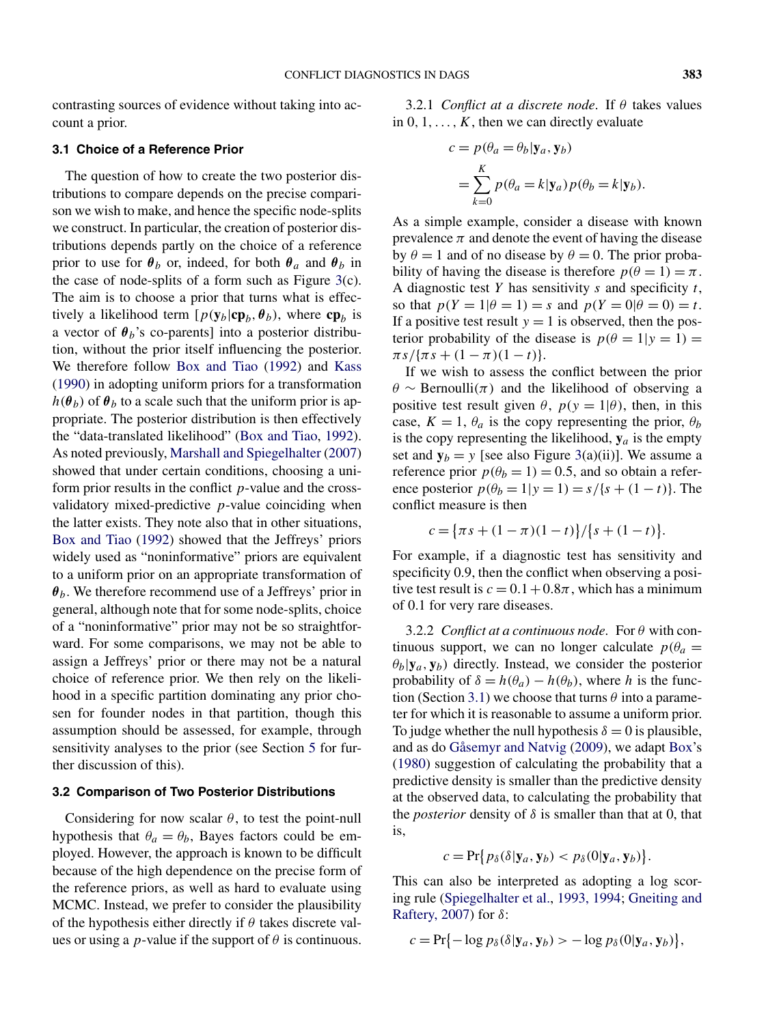<span id="page-7-0"></span>contrasting sources of evidence without taking into account a prior.

#### **3.1 Choice of a Reference Prior**

The question of how to create the two posterior distributions to compare depends on the precise comparison we wish to make, and hence the specific node-splits we construct. In particular, the creation of posterior distributions depends partly on the choice of a reference prior to use for  $\theta_b$  or, indeed, for both  $\theta_a$  and  $\theta_b$  in the case of node-splits of a form such as Figure  $3(c)$  $3(c)$ . The aim is to choose a prior that turns what is effectively a likelihood term  $[p(\mathbf{y}_b|\mathbf{cp}_b, \theta_b)]$ , where  $\mathbf{cp}_b$  is a vector of  $\theta_b$ 's co-parents] into a posterior distribution, without the prior itself influencing the posterior. We therefore follow [Box and Tiao](#page-19-0) [\(1992\)](#page-19-0) and [Kass](#page-20-0) [\(1990\)](#page-20-0) in adopting uniform priors for a transformation  $h(\theta_b)$  of  $\theta_b$  to a scale such that the uniform prior is appropriate. The posterior distribution is then effectively the "data-translated likelihood" [\(Box and Tiao,](#page-19-0) [1992\)](#page-19-0). As noted previously, [Marshall and Spiegelhalter](#page-20-0) [\(2007\)](#page-20-0) showed that under certain conditions, choosing a uniform prior results in the conflict *p*-value and the crossvalidatory mixed-predictive *p*-value coinciding when the latter exists. They note also that in other situations, [Box and Tiao](#page-19-0) [\(1992\)](#page-19-0) showed that the Jeffreys' priors widely used as "noninformative" priors are equivalent to a uniform prior on an appropriate transformation of *θ <sup>b</sup>*. We therefore recommend use of a Jeffreys' prior in general, although note that for some node-splits, choice of a "noninformative" prior may not be so straightforward. For some comparisons, we may not be able to assign a Jeffreys' prior or there may not be a natural choice of reference prior. We then rely on the likelihood in a specific partition dominating any prior chosen for founder nodes in that partition, though this assumption should be assessed, for example, through sensitivity analyses to the prior (see Section [5](#page-16-0) for further discussion of this).

#### **3.2 Comparison of Two Posterior Distributions**

Considering for now scalar  $\theta$ , to test the point-null hypothesis that  $\theta_a = \theta_b$ , Bayes factors could be employed. However, the approach is known to be difficult because of the high dependence on the precise form of the reference priors, as well as hard to evaluate using MCMC. Instead, we prefer to consider the plausibility of the hypothesis either directly if *θ* takes discrete values or using a *p*-value if the support of  $\theta$  is continuous.

3.2.1 *Conflict at a discrete node*. If *θ* takes values in  $0, 1, \ldots, K$ , then we can directly evaluate

$$
c = p(\theta_a = \theta_b | \mathbf{y}_a, \mathbf{y}_b)
$$
  
= 
$$
\sum_{k=0}^{K} p(\theta_a = k | \mathbf{y}_a) p(\theta_b = k | \mathbf{y}_b).
$$

As a simple example, consider a disease with known prevalence  $\pi$  and denote the event of having the disease by  $\theta = 1$  and of no disease by  $\theta = 0$ . The prior probability of having the disease is therefore  $p(\theta = 1) = \pi$ . A diagnostic test *Y* has sensitivity *s* and specificity *t*, so that  $p(Y = 1 | \theta = 1) = s$  and  $p(Y = 0 | \theta = 0) = t$ . If a positive test result  $y = 1$  is observed, then the posterior probability of the disease is  $p(\theta = 1 | y = 1)$  =  $\pi s / \{\pi s + (1 - \pi)(1 - t)\}.$ 

If we wish to assess the conflict between the prior *θ* ∼ Bernoulli*(π)* and the likelihood of observing a positive test result given  $\theta$ ,  $p(y = 1 | \theta)$ , then, in this case,  $K = 1$ ,  $\theta_a$  is the copy representing the prior,  $\theta_b$ is the copy representing the likelihood,  $y_a$  is the empty set and  $y_b = y$  [see also Figure [3\(](#page-6-0)a)(ii)]. We assume a reference prior  $p(\theta_b = 1) = 0.5$ , and so obtain a reference posterior  $p(\theta_b = 1 | y = 1) = s / \{s + (1 - t)\}\)$ . The conflict measure is then

$$
c = {\pi s + (1 - \pi)(1 - t)} / {s + (1 - t)}.
$$

For example, if a diagnostic test has sensitivity and specificity 0.9, then the conflict when observing a positive test result is  $c = 0.1 + 0.8\pi$ , which has a minimum of 0.1 for very rare diseases.

3.2.2 *Conflict at a continuous node*. For *θ* with continuous support, we can no longer calculate  $p(\theta_a =$ *θb*|**y***a,* **y***b)* directly. Instead, we consider the posterior probability of  $\delta = h(\theta_a) - h(\theta_b)$ , where *h* is the function (Section 3.1) we choose that turns  $\theta$  into a parameter for which it is reasonable to assume a uniform prior. To judge whether the null hypothesis  $\delta = 0$  is plausible, and as do [Gåsemyr and Natvig](#page-20-0) [\(2009\)](#page-20-0), we adapt [Box'](#page-19-0)s [\(1980\)](#page-19-0) suggestion of calculating the probability that a predictive density is smaller than the predictive density at the observed data, to calculating the probability that the *posterior* density of  $\delta$  is smaller than that at 0, that is,

$$
c = \Pr\{p_{\delta}(\delta|\mathbf{y}_a, \mathbf{y}_b) < p_{\delta}(0|\mathbf{y}_a, \mathbf{y}_b)\}.
$$

This can also be interpreted as adopting a log scoring rule [\(Spiegelhalter et al.,](#page-21-0) [1993, 1994;](#page-21-0) [Gneiting and](#page-20-0) [Raftery, 2007\)](#page-20-0) for *δ*:

$$
c = \Pr\{-\log p_{\delta}(\delta|\mathbf{y}_a, \mathbf{y}_b) > -\log p_{\delta}(0|\mathbf{y}_a, \mathbf{y}_b)\},\
$$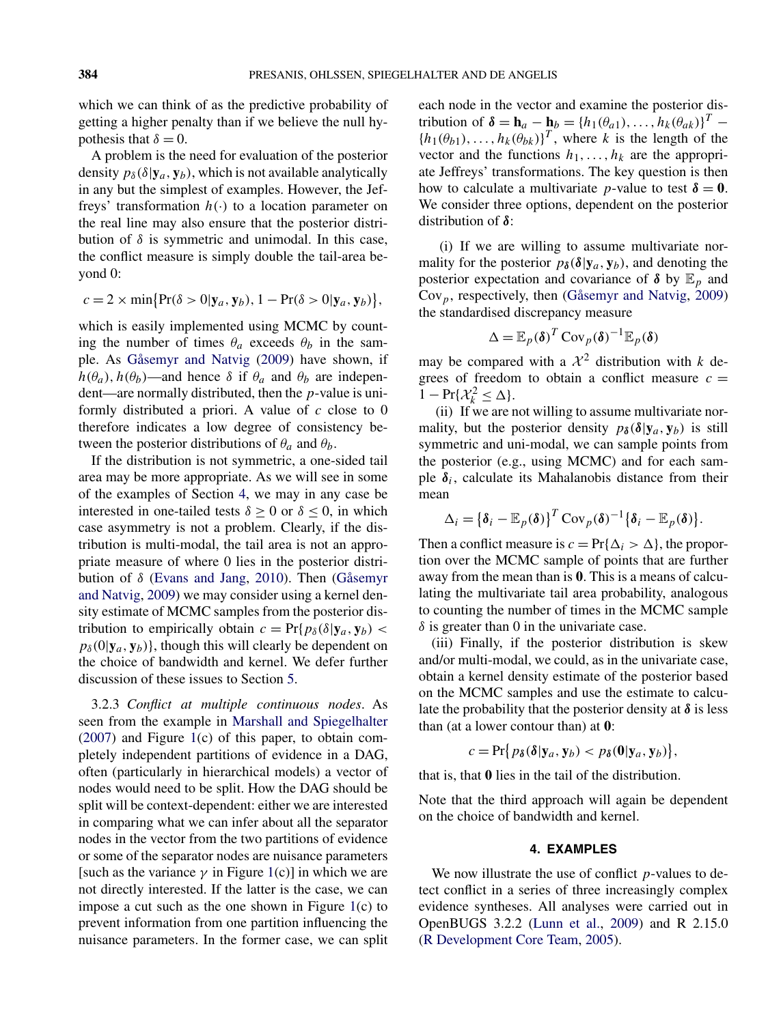<span id="page-8-0"></span>which we can think of as the predictive probability of getting a higher penalty than if we believe the null hypothesis that  $\delta = 0$ .

A problem is the need for evaluation of the posterior density  $p_{\delta}(\delta | \mathbf{y}_a, \mathbf{y}_b)$ , which is not available analytically in any but the simplest of examples. However, the Jeffreys' transformation  $h(\cdot)$  to a location parameter on the real line may also ensure that the posterior distribution of  $\delta$  is symmetric and unimodal. In this case, the conflict measure is simply double the tail-area beyond 0:

$$
c = 2 \times \min\{ \Pr(\delta > 0 | \mathbf{y}_a, \mathbf{y}_b), 1 - \Pr(\delta > 0 | \mathbf{y}_a, \mathbf{y}_b) \},
$$

which is easily implemented using MCMC by counting the number of times  $\theta_a$  exceeds  $\theta_b$  in the sample. As [Gåsemyr and Natvig](#page-20-0) [\(2009\)](#page-20-0) have shown, if  $h(\theta_a)$ ,  $h(\theta_b)$ —and hence  $\delta$  if  $\theta_a$  and  $\theta_b$  are independent—are normally distributed, then the *p*-value is uniformly distributed a priori. A value of *c* close to 0 therefore indicates a low degree of consistency between the posterior distributions of  $\theta_a$  and  $\theta_b$ .

If the distribution is not symmetric, a one-sided tail area may be more appropriate. As we will see in some of the examples of Section 4, we may in any case be interested in one-tailed tests  $\delta \geq 0$  or  $\delta \leq 0$ , in which case asymmetry is not a problem. Clearly, if the distribution is multi-modal, the tail area is not an appropriate measure of where 0 lies in the posterior distribution of *δ* [\(Evans and Jang,](#page-20-0) [2010\)](#page-20-0). Then [\(Gåsemyr](#page-20-0) [and Natvig,](#page-20-0) [2009\)](#page-20-0) we may consider using a kernel density estimate of MCMC samples from the posterior distribution to empirically obtain  $c = Pr{p_\delta(\delta|\mathbf{y}_a, \mathbf{y}_b)}$  $p_{\delta}(0|\mathbf{y}_a, \mathbf{y}_b)$ , though this will clearly be dependent on the choice of bandwidth and kernel. We defer further discussion of these issues to Section [5.](#page-16-0)

3.2.3 *Conflict at multiple continuous nodes*. As seen from the example in [Marshall and Spiegelhalter](#page-20-0) [\(2007\)](#page-20-0) and Figure [1\(](#page-2-0)c) of this paper, to obtain completely independent partitions of evidence in a DAG, often (particularly in hierarchical models) a vector of nodes would need to be split. How the DAG should be split will be context-dependent: either we are interested in comparing what we can infer about all the separator nodes in the vector from the two partitions of evidence or some of the separator nodes are nuisance parameters [such as the variance  $\gamma$  in Figure [1\(](#page-2-0)c)] in which we are not directly interested. If the latter is the case, we can impose a cut such as the one shown in Figure [1\(](#page-2-0)c) to prevent information from one partition influencing the nuisance parameters. In the former case, we can split

each node in the vector and examine the posterior distribution of  $\delta = \mathbf{h}_a - \mathbf{h}_b = \{h_1(\theta_{a1}), \dots, h_k(\theta_{ak})\}^T$  −  ${h_1(\theta_{b1}), \ldots, h_k(\theta_{bk})}^T$ , where *k* is the length of the vector and the functions  $h_1, \ldots, h_k$  are the appropriate Jeffreys' transformations. The key question is then how to calculate a multivariate *p*-value to test  $\delta = 0$ . We consider three options, dependent on the posterior distribution of *δ*:

(i) If we are willing to assume multivariate normality for the posterior  $p_{\delta}(\delta | y_a, y_b)$ , and denoting the posterior expectation and covariance of  $\delta$  by  $\mathbb{E}_p$  and Cov*p*, respectively, then [\(Gåsemyr and Natvig,](#page-20-0) [2009\)](#page-20-0) the standardised discrepancy measure

$$
\Delta = \mathbb{E}_p(\boldsymbol{\delta})^T \operatorname{Cov}_p(\boldsymbol{\delta})^{-1} \mathbb{E}_p(\boldsymbol{\delta})
$$

may be compared with a  $\mathcal{X}^2$  distribution with *k* degrees of freedom to obtain a conflict measure  $c =$  $1 - \Pr{\mathcal{X}_k^2 \leq \Delta}.$ 

(ii) If we are not willing to assume multivariate normality, but the posterior density  $p_{\delta}(\delta|\mathbf{y}_a, \mathbf{y}_b)$  is still symmetric and uni-modal, we can sample points from the posterior (e.g., using MCMC) and for each sample  $\delta$ *i*, calculate its Mahalanobis distance from their mean

$$
\Delta_i = \{ \boldsymbol{\delta}_i - \mathbb{E}_p(\boldsymbol{\delta}) \}^T \operatorname{Cov}_p(\boldsymbol{\delta})^{-1} \{ \boldsymbol{\delta}_i - \mathbb{E}_p(\boldsymbol{\delta}) \}.
$$

Then a conflict measure is  $c = Pr{\{\Delta_i > \Delta\}}$ , the proportion over the MCMC sample of points that are further away from the mean than is **0**. This is a means of calculating the multivariate tail area probability, analogous to counting the number of times in the MCMC sample *δ* is greater than 0 in the univariate case.

(iii) Finally, if the posterior distribution is skew and/or multi-modal, we could, as in the univariate case, obtain a kernel density estimate of the posterior based on the MCMC samples and use the estimate to calculate the probability that the posterior density at  $\delta$  is less than (at a lower contour than) at **0**:

$$
c = \Pr\{p_{\delta}(\delta|\mathbf{y}_a, \mathbf{y}_b) < p_{\delta}(\mathbf{0}|\mathbf{y}_a, \mathbf{y}_b)\},
$$

that is, that **0** lies in the tail of the distribution.

Note that the third approach will again be dependent on the choice of bandwidth and kernel.

# **4. EXAMPLES**

We now illustrate the use of conflict *p*-values to detect conflict in a series of three increasingly complex evidence syntheses. All analyses were carried out in OpenBUGS 3.2.2 [\(Lunn et al.,](#page-20-0) [2009\)](#page-20-0) and R 2.15.0 [\(R Development Core Team,](#page-20-0) [2005\)](#page-20-0).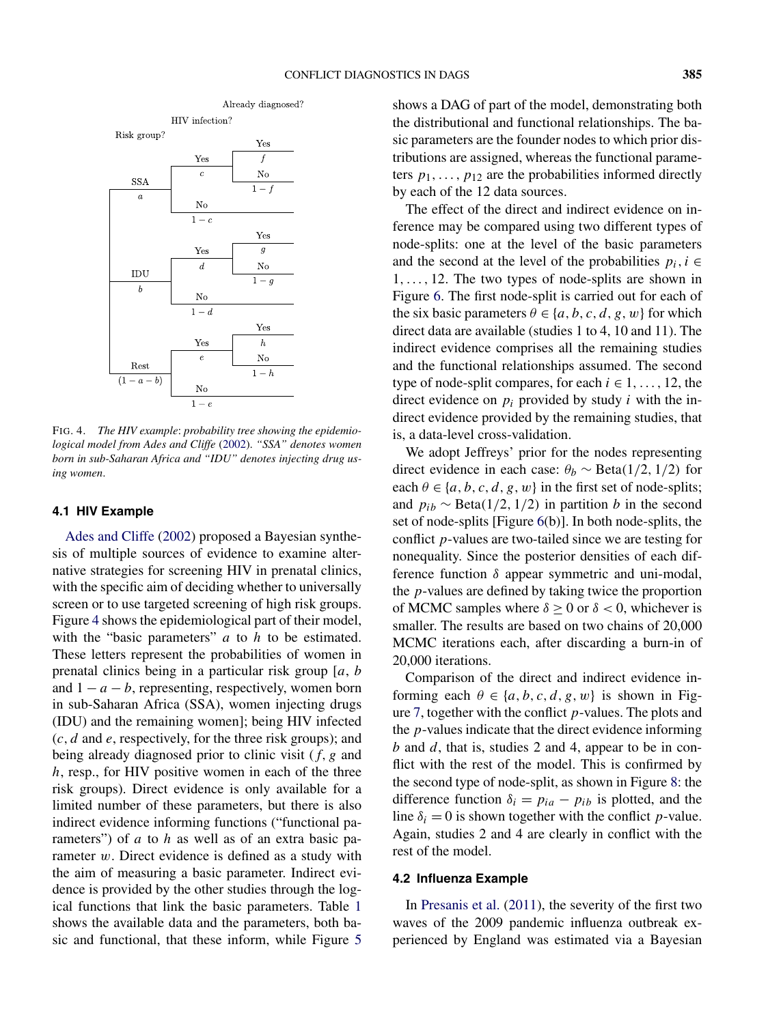<span id="page-9-0"></span>

FIG. 4. *The HIV example*: *probability tree showing the epidemiological model from Ades and Cliffe* [\(2002\)](#page-19-0). *"SSA" denotes women born in sub-Saharan Africa and "IDU" denotes injecting drug using women*.

#### **4.1 HIV Example**

[Ades and Cliffe](#page-19-0) [\(2002\)](#page-19-0) proposed a Bayesian synthesis of multiple sources of evidence to examine alternative strategies for screening HIV in prenatal clinics, with the specific aim of deciding whether to universally screen or to use targeted screening of high risk groups. Figure 4 shows the epidemiological part of their model, with the "basic parameters" *a* to *h* to be estimated. These letters represent the probabilities of women in prenatal clinics being in a particular risk group [*a*, *b* and  $1 - a - b$ , representing, respectively, women born in sub-Saharan Africa (SSA), women injecting drugs (IDU) and the remaining women]; being HIV infected (*c,d* and *e*, respectively, for the three risk groups); and being already diagnosed prior to clinic visit (*f,g* and *h*, resp., for HIV positive women in each of the three risk groups). Direct evidence is only available for a limited number of these parameters, but there is also indirect evidence informing functions ("functional parameters") of *a* to *h* as well as of an extra basic parameter *w*. Direct evidence is defined as a study with the aim of measuring a basic parameter. Indirect evidence is provided by the other studies through the logical functions that link the basic parameters. Table [1](#page-10-0) shows the available data and the parameters, both basic and functional, that these inform, while Figure [5](#page-11-0)

shows a DAG of part of the model, demonstrating both the distributional and functional relationships. The basic parameters are the founder nodes to which prior distributions are assigned, whereas the functional parameters  $p_1, \ldots, p_{12}$  are the probabilities informed directly by each of the 12 data sources.

The effect of the direct and indirect evidence on inference may be compared using two different types of node-splits: one at the level of the basic parameters and the second at the level of the probabilities  $p_i, i \in$ 1*,...,* 12. The two types of node-splits are shown in Figure [6.](#page-11-0) The first node-split is carried out for each of the six basic parameters  $\theta \in \{a, b, c, d, g, w\}$  for which direct data are available (studies 1 to 4, 10 and 11). The indirect evidence comprises all the remaining studies and the functional relationships assumed. The second type of node-split compares, for each  $i \in 1, \ldots, 12$ , the direct evidence on  $p_i$  provided by study  $i$  with the indirect evidence provided by the remaining studies, that is, a data-level cross-validation.

We adopt Jeffreys' prior for the nodes representing direct evidence in each case:  $\theta_b \sim \text{Beta}(1/2, 1/2)$  for each  $\theta \in \{a, b, c, d, g, w\}$  in the first set of node-splits; and  $p_{ib}$  ∼ Beta(1/2*,* 1/2*)* in partition *b* in the second set of node-splits [Figure [6\(](#page-11-0)b)]. In both node-splits, the conflict *p*-values are two-tailed since we are testing for nonequality. Since the posterior densities of each difference function *δ* appear symmetric and uni-modal, the *p*-values are defined by taking twice the proportion of MCMC samples where  $\delta \geq 0$  or  $\delta < 0$ , whichever is smaller. The results are based on two chains of 20,000 MCMC iterations each, after discarding a burn-in of 20,000 iterations.

Comparison of the direct and indirect evidence informing each  $\theta \in \{a, b, c, d, g, w\}$  is shown in Figure [7,](#page-12-0) together with the conflict *p*-values. The plots and the *p*-values indicate that the direct evidence informing *b* and *d*, that is, studies 2 and 4, appear to be in conflict with the rest of the model. This is confirmed by the second type of node-split, as shown in Figure [8:](#page-13-0) the difference function  $\delta_i = p_{ia} - p_{ib}$  is plotted, and the line  $\delta_i = 0$  is shown together with the conflict *p*-value. Again, studies 2 and 4 are clearly in conflict with the rest of the model.

#### **4.2 Influenza Example**

In [Presanis et al.](#page-20-0) [\(2011\)](#page-20-0), the severity of the first two waves of the 2009 pandemic influenza outbreak experienced by England was estimated via a Bayesian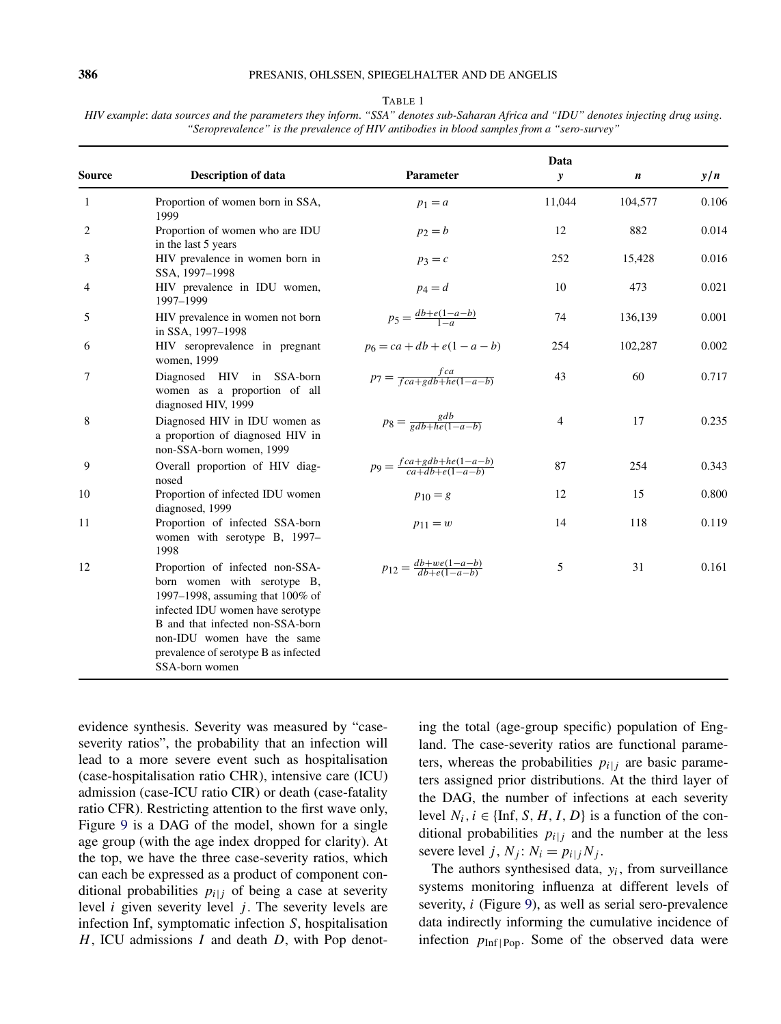#### <span id="page-10-0"></span>**386** PRESANIS, OHLSSEN, SPIEGELHALTER AND DE ANGELIS

|--|--|

*HIV example*: *data sources and the parameters they inform*. *"SSA" denotes sub-Saharan Africa and "IDU" denotes injecting drug using*. *"Seroprevalence" is the prevalence of HIV antibodies in blood samples from a "sero-survey"*

| <b>Source</b> | <b>Description of data</b>                                                                                                                                                                                                                                          | Parameter                                                 | Data<br>$\mathbf{y}$ | $\boldsymbol{n}$ | y/n   |
|---------------|---------------------------------------------------------------------------------------------------------------------------------------------------------------------------------------------------------------------------------------------------------------------|-----------------------------------------------------------|----------------------|------------------|-------|
| 1             | Proportion of women born in SSA,<br>1999                                                                                                                                                                                                                            | $p_1 = a$                                                 | 11,044               | 104,577          | 0.106 |
| 2             | Proportion of women who are IDU<br>in the last 5 years                                                                                                                                                                                                              | $p_2 = b$                                                 | 12                   | 882              | 0.014 |
| 3             | HIV prevalence in women born in<br>SSA, 1997-1998                                                                                                                                                                                                                   | $p_3 = c$                                                 | 252                  | 15,428           | 0.016 |
| 4             | HIV prevalence in IDU women,<br>1997-1999                                                                                                                                                                                                                           | $p_4=d$                                                   | 10                   | 473              | 0.021 |
| 5             | HIV prevalence in women not born<br>in SSA, 1997-1998                                                                                                                                                                                                               | $p_5 = \frac{db + e(1 - a - b)}{1 - a}$                   | 74                   | 136,139          | 0.001 |
| 6             | HIV seroprevalence in pregnant<br>women, 1999                                                                                                                                                                                                                       | $p_6 = ca + db + e(1 - a - b)$                            | 254                  | 102,287          | 0.002 |
| 7             | Diagnosed HIV in SSA-born<br>women as a proportion of all<br>diagnosed HIV, 1999                                                                                                                                                                                    | $p_7 = \frac{fca}{fca + \frac{gdb + he(1 - a - b)}{fca}}$ | 43                   | 60               | 0.717 |
| 8             | Diagnosed HIV in IDU women as<br>a proportion of diagnosed HIV in<br>non-SSA-born women, 1999                                                                                                                                                                       | $p_8 = \frac{gdb}{gdb + he(1 - a - b)}$                   | 4                    | 17               | 0.235 |
| 9             | Overall proportion of HIV diag-<br>nosed                                                                                                                                                                                                                            | $p_9 = \frac{fca + gdb + he(1-a-b)}{ca + db + e(1-a-b)}$  | 87                   | 254              | 0.343 |
| 10            | Proportion of infected IDU women<br>diagnosed, 1999                                                                                                                                                                                                                 | $p_{10} = g$                                              | 12                   | 15               | 0.800 |
| 11            | Proportion of infected SSA-born<br>women with serotype B, 1997-<br>1998                                                                                                                                                                                             | $p_{11} = w$                                              | 14                   | 118              | 0.119 |
| 12            | Proportion of infected non-SSA-<br>born women with serotype B,<br>1997-1998, assuming that 100% of<br>infected IDU women have serotype<br>B and that infected non-SSA-born<br>non-IDU women have the same<br>prevalence of serotype B as infected<br>SSA-born women | $p_{12} = \frac{db + we(1-a-b)}{db + e(1-a-b)}$           | 5                    | 31               | 0.161 |

evidence synthesis. Severity was measured by "caseseverity ratios", the probability that an infection will lead to a more severe event such as hospitalisation (case-hospitalisation ratio CHR), intensive care (ICU) admission (case-ICU ratio CIR) or death (case-fatality ratio CFR). Restricting attention to the first wave only, Figure [9](#page-13-0) is a DAG of the model, shown for a single age group (with the age index dropped for clarity). At the top, we have the three case-severity ratios, which can each be expressed as a product of component conditional probabilities  $p_{i,j}$  of being a case at severity level *i* given severity level *j*. The severity levels are infection Inf, symptomatic infection *S*, hospitalisation *H*, ICU admissions *I* and death *D*, with Pop denoting the total (age-group specific) population of England. The case-severity ratios are functional parameters, whereas the probabilities  $p_{i,j}$  are basic parameters assigned prior distributions. At the third layer of the DAG, the number of infections at each severity level  $N_i$ ,  $i \in \{\text{Inf}, S, H, I, D\}$  is a function of the conditional probabilities  $p_{i|j}$  and the number at the less severe level *j*,  $N_j$ :  $N_i = p_{i|j}N_j$ .

The authors synthesised data, *yi*, from surveillance systems monitoring influenza at different levels of severity, *i* (Figure [9\)](#page-13-0), as well as serial sero-prevalence data indirectly informing the cumulative incidence of infection *p*Inf<sup>|</sup>Pop. Some of the observed data were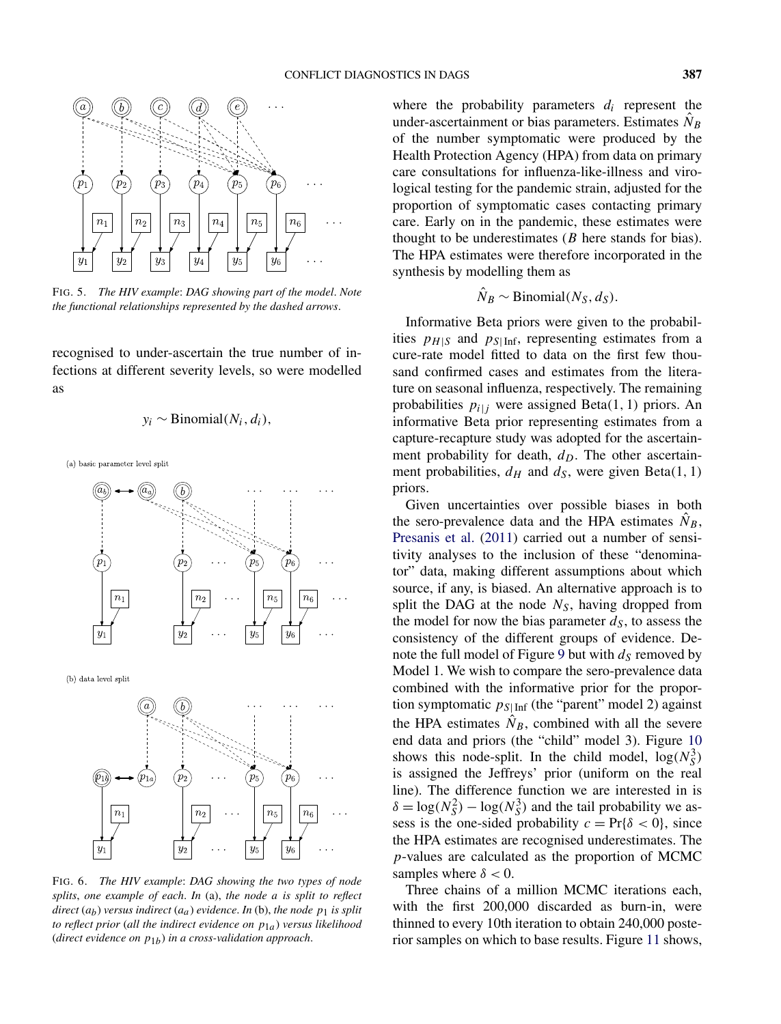<span id="page-11-0"></span>

FIG. 5. *The HIV example*: *DAG showing part of the model*. *Note the functional relationships represented by the dashed arrows*.

recognised to under-ascertain the true number of infections at different severity levels, so were modelled as

$$
y_i \sim \text{Binomial}(N_i, d_i),
$$

(a) basic parameter level split



(b) data level split



FIG. 6. *The HIV example*: *DAG showing the two types of node splits*, *one example of each*. *In* (a), *the node a is split to reflect direct*  $(a_b)$  *versus indirect*  $(a_a)$  *evidence. In* (b), *the node*  $p_1$  *is split to reflect prior* (*all the indirect evidence on p*1*a* ) *versus likelihood* (*direct evidence on p*1*b*) *in a cross-validation approach*.

where the probability parameters  $d_i$  represent the under-ascertainment or bias parameters. Estimates  $\hat{N}_B$ of the number symptomatic were produced by the Health Protection Agency (HPA) from data on primary care consultations for influenza-like-illness and virological testing for the pandemic strain, adjusted for the proportion of symptomatic cases contacting primary care. Early on in the pandemic, these estimates were thought to be underestimates (*B* here stands for bias). The HPA estimates were therefore incorporated in the synthesis by modelling them as

# $\hat{N}_B \sim \text{Binomial}(N_S, d_S).$

Informative Beta priors were given to the probabilities  $p_{H|S}$  and  $p_{S|Inf}$ , representing estimates from a cure-rate model fitted to data on the first few thousand confirmed cases and estimates from the literature on seasonal influenza, respectively. The remaining probabilities  $p_{i|j}$  were assigned Beta $(1, 1)$  priors. An informative Beta prior representing estimates from a capture-recapture study was adopted for the ascertainment probability for death,  $d<sub>D</sub>$ . The other ascertainment probabilities,  $d_H$  and  $d_S$ , were given Beta $(1, 1)$ priors.

Given uncertainties over possible biases in both the sero-prevalence data and the HPA estimates  $\hat{N}_B$ , [Presanis et al.](#page-20-0) [\(2011\)](#page-20-0) carried out a number of sensitivity analyses to the inclusion of these "denominator" data, making different assumptions about which source, if any, is biased. An alternative approach is to split the DAG at the node  $N<sub>S</sub>$ , having dropped from the model for now the bias parameter  $d<sub>S</sub>$ , to assess the consistency of the different groups of evidence. De-note the full model of Figure [9](#page-13-0) but with  $d<sub>S</sub>$  removed by Model 1. We wish to compare the sero-prevalence data combined with the informative prior for the proportion symptomatic  $p_{S|\text{Inf}}$  (the "parent" model 2) against the HPA estimates  $\hat{N}_B$ , combined with all the severe end data and priors (the "child" model 3). Figure [10](#page-14-0) shows this node-split. In the child model,  $log(N_S^3)$ is assigned the Jeffreys' prior (uniform on the real line). The difference function we are interested in is  $\delta = \log(N_S^2) - \log(N_S^3)$  and the tail probability we assess is the one-sided probability  $c = Pr\{\delta < 0\}$ , since the HPA estimates are recognised underestimates. The *p*-values are calculated as the proportion of MCMC samples where  $\delta$  < 0.

Three chains of a million MCMC iterations each, with the first 200,000 discarded as burn-in, were thinned to every 10th iteration to obtain 240,000 posterior samples on which to base results. Figure [11](#page-14-0) shows,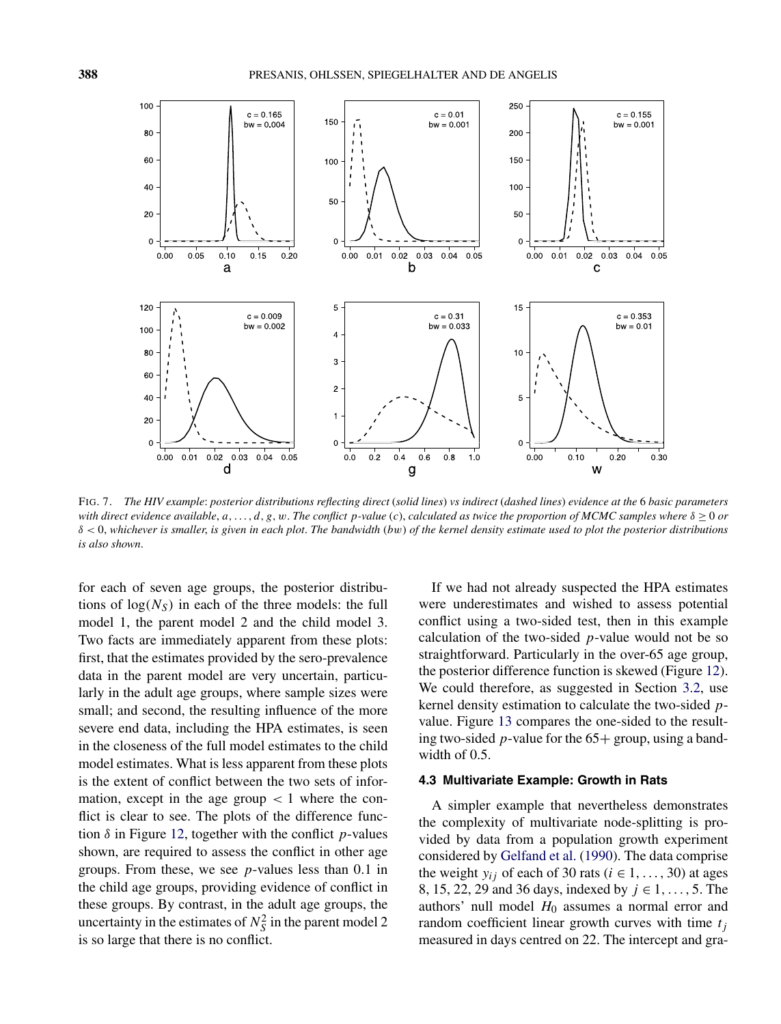<span id="page-12-0"></span>

FIG. 7. *The HIV example*: *posterior distributions reflecting direct* (*solid lines*) *vs indirect* (*dashed lines*) *evidence at the* 6 *basic parameters with direct evidence available, a,...,d,g,w. The conflict p-value (c), calculated as twice the proportion of MCMC samples where*  $\delta$  *> 0 or δ <* 0, *whichever is smaller*, *is given in each plot*. *The bandwidth* (*bw*) *of the kernel density estimate used to plot the posterior distributions is also shown*.

for each of seven age groups, the posterior distributions of  $log(N<sub>S</sub>)$  in each of the three models: the full model 1, the parent model 2 and the child model 3. Two facts are immediately apparent from these plots: first, that the estimates provided by the sero-prevalence data in the parent model are very uncertain, particularly in the adult age groups, where sample sizes were small; and second, the resulting influence of the more severe end data, including the HPA estimates, is seen in the closeness of the full model estimates to the child model estimates. What is less apparent from these plots is the extent of conflict between the two sets of information, except in the age group  $\langle 1 \rangle$  where the conflict is clear to see. The plots of the difference function  $\delta$  in Figure [12,](#page-15-0) together with the conflict *p*-values shown, are required to assess the conflict in other age groups. From these, we see *p*-values less than 0*.*1 in the child age groups, providing evidence of conflict in these groups. By contrast, in the adult age groups, the uncertainty in the estimates of  $N_S^2$  in the parent model 2 is so large that there is no conflict.

If we had not already suspected the HPA estimates were underestimates and wished to assess potential conflict using a two-sided test, then in this example calculation of the two-sided *p*-value would not be so straightforward. Particularly in the over-65 age group, the posterior difference function is skewed (Figure [12\)](#page-15-0). We could therefore, as suggested in Section [3.2,](#page-7-0) use kernel density estimation to calculate the two-sided *p*value. Figure [13](#page-15-0) compares the one-sided to the resulting two-sided  $p$ -value for the  $65+$  group, using a bandwidth of 0.5.

## **4.3 Multivariate Example: Growth in Rats**

A simpler example that nevertheless demonstrates the complexity of multivariate node-splitting is provided by data from a population growth experiment considered by [Gelfand et al.](#page-20-0) [\(1990\)](#page-20-0). The data comprise the weight  $y_{ij}$  of each of 30 rats ( $i \in 1, \ldots, 30$ ) at ages 8, 15, 22, 29 and 36 days, indexed by *j* ∈ 1*,...,* 5. The authors' null model *H*<sup>0</sup> assumes a normal error and random coefficient linear growth curves with time  $t_i$ measured in days centred on 22. The intercept and gra-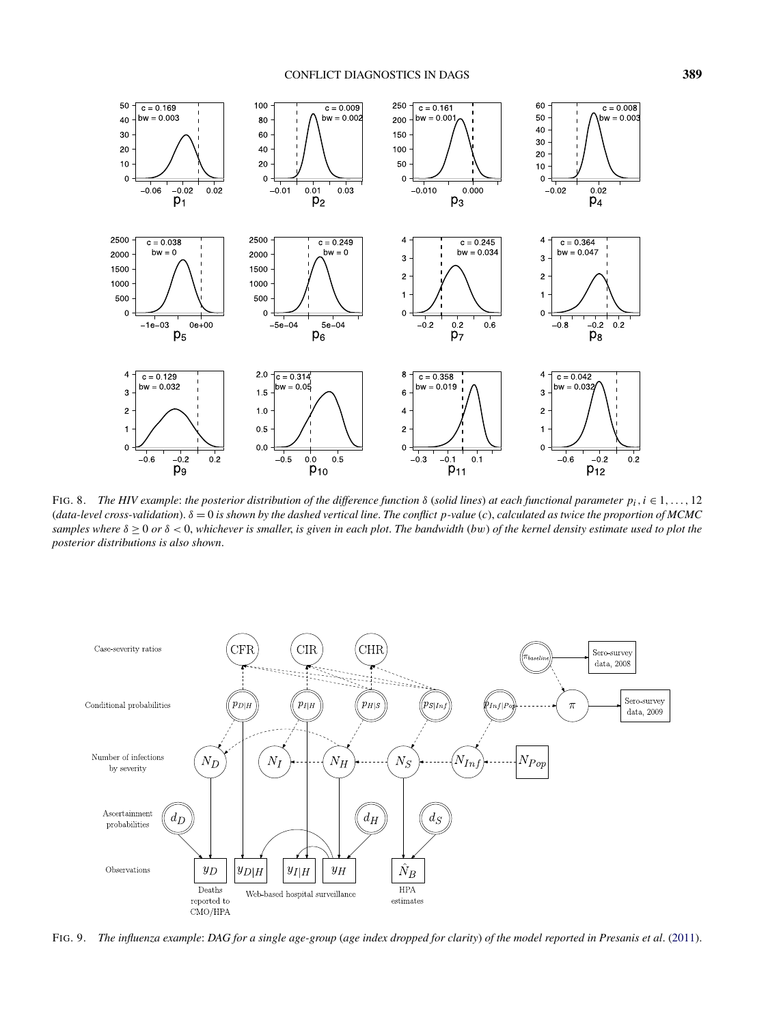<span id="page-13-0"></span>

FIG. 8. *The HIV example*: *the posterior distribution of the difference function δ* (*solid lines*) *at each functional parameter pi,i* ∈ 1*,...,* 12  $(data-level cross-validation)$ .  $\delta = 0$  is shown by the dashed vertical line. The conflict p-value  $(c)$ , calculated as twice the proportion of MCMC  $s$ amples where  $\delta \geq 0$  or  $\delta < 0$ , whichever is smaller, is given in each plot. The bandwidth (*bw*) of the kernel density estimate used to plot the *posterior distributions is also shown*.



FIG. 9. *The influenza example*: *DAG for a single age-group* (*age index dropped for clarity*) *of the model reported in Presanis et al*. [\(2011\)](#page-20-0).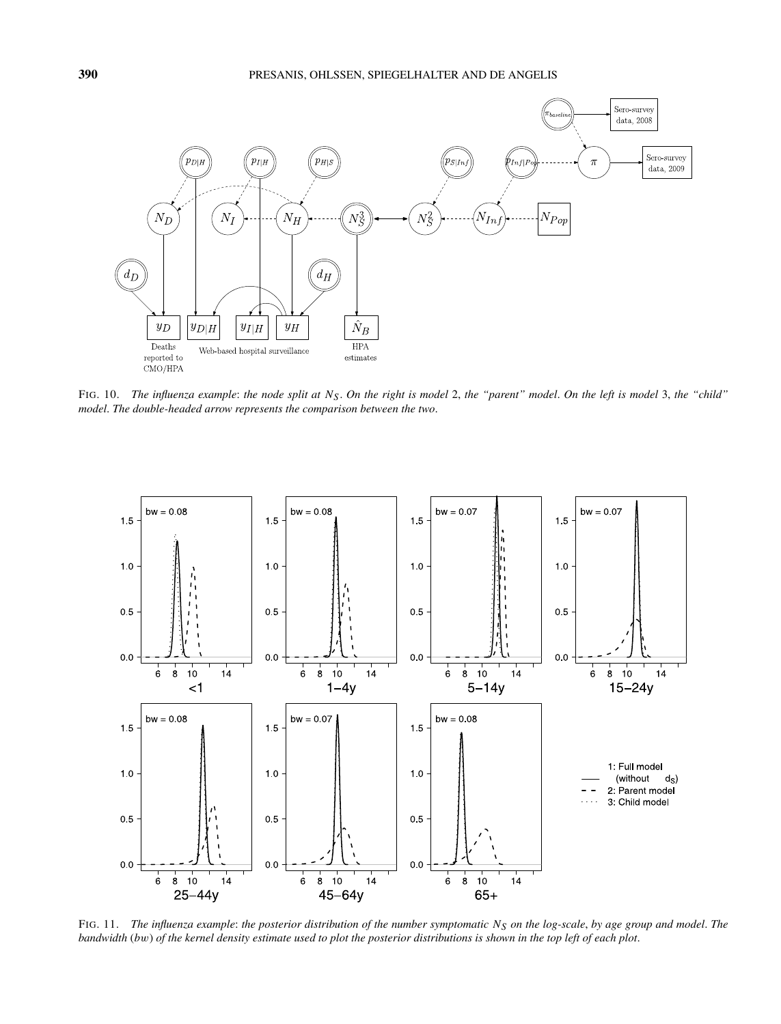<span id="page-14-0"></span>

FIG. 10. *The influenza example*: *the node split at NS* . *On the right is model* 2, *the "parent" model*. *On the left is model* 3, *the "child" model*. *The double-headed arrow represents the comparison between the two*.



FIG. 11. *The influenza example: the posterior distribution of the number symptomatic*  $N_S$  *on the log-scale, by age group and model. The bandwidth* (*bw*) *of the kernel density estimate used to plot the posterior distributions is shown in the top left of each plot*.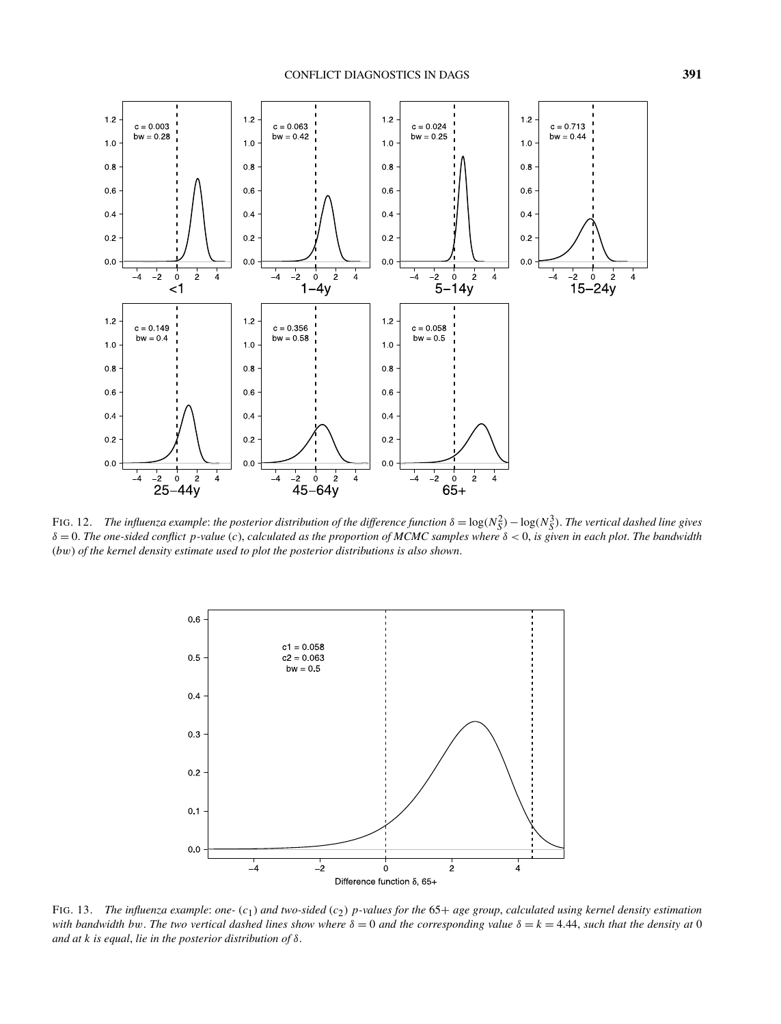<span id="page-15-0"></span>

FIG. 12. *The influenza example: the posterior distribution of the difference function*  $\delta = \log(N_S^2) - \log(N_S^3)$ . The vertical dashed line gives *δ* = 0. *The one-sided conflict p-value* (*c*), *calculated as the proportion of MCMC samples where δ <* 0, *is given in each plot*. *The bandwidth* (*bw*) *of the kernel density estimate used to plot the posterior distributions is also shown*.



FIG. 13. *The influenza example*: *one-* (*c*1) *and two-sided* (*c*2) *p-values for the* 65+ *age group*, *calculated using kernel density estimation with bandwidth bw. The two vertical dashed lines show where*  $\delta = 0$  *and the corresponding value*  $\delta = k = 4.44$ *, such that the density at* 0 *and at k is equal*, *lie in the posterior distribution of δ*.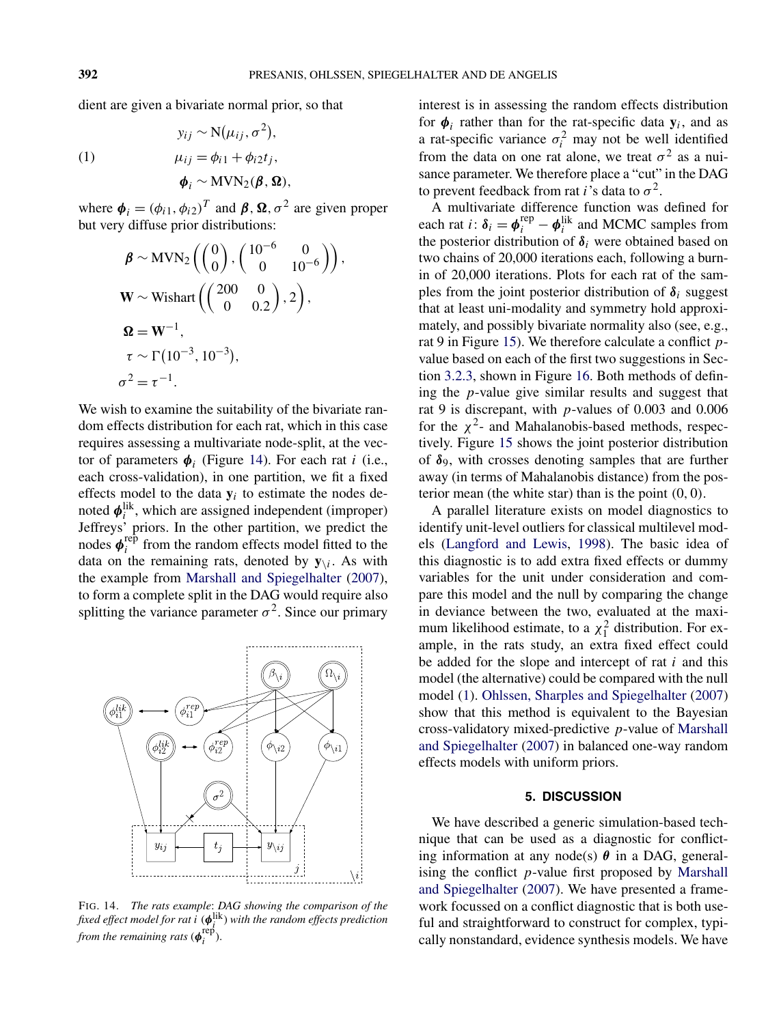<span id="page-16-0"></span>dient are given a bivariate normal prior, so that

(1)  
\n
$$
y_{ij} \sim N(\mu_{ij}, \sigma^2),
$$
\n
$$
\mu_{ij} = \phi_{i1} + \phi_{i2}t_j,
$$
\n
$$
\phi_i \sim \text{MVN}_2(\beta, \Omega),
$$

where  $\boldsymbol{\phi}_i = (\phi_{i1}, \phi_{i2})^T$  and  $\boldsymbol{\beta}, \boldsymbol{\Omega}, \sigma^2$  are given proper but very diffuse prior distributions:

$$
\beta \sim MVN_2\left(\begin{pmatrix}0\\0\end{pmatrix},\begin{pmatrix}10^{-6}&0\\0&10^{-6}\end{pmatrix}\right),
$$
  
\n
$$
\mathbf{W} \sim \text{Wishart}\left(\begin{pmatrix}200&0\\0&0.2\end{pmatrix},2\right),
$$
  
\n
$$
\mathbf{\Omega} = \mathbf{W}^{-1},
$$
  
\n
$$
\tau \sim \Gamma(10^{-3}, 10^{-3}),
$$
  
\n
$$
\sigma^2 = \tau^{-1}.
$$

We wish to examine the suitability of the bivariate random effects distribution for each rat, which in this case requires assessing a multivariate node-split, at the vector of parameters  $\phi_i$  (Figure 14). For each rat *i* (i.e., each cross-validation), in one partition, we fit a fixed effects model to the data  $y_i$  to estimate the nodes denoted  $\phi_i^{\text{lik}}$ , which are assigned independent (improper) Jeffreys' priors. In the other partition, we predict the nodes  $\phi_i^{\text{rep}}$  from the random effects model fitted to the data on the remaining rats, denoted by  $\mathbf{y}_{\setminus i}$ . As with the example from [Marshall and Spiegelhalter](#page-20-0) [\(2007\)](#page-20-0), to form a complete split in the DAG would require also splitting the variance parameter  $\sigma^2$ . Since our primary



FIG. 14. *The rats example*: *DAG showing the comparison of the* fixed effect model for rat  $i$   $(\phi_i^{\text{lik}})$  with the random effects prediction *from the remaining rats*  $(\phi_i^{\text{rep}})$ .

interest is in assessing the random effects distribution for  $\phi_i$  rather than for the rat-specific data  $y_i$ , and as a rat-specific variance  $\sigma_i^2$  may not be well identified from the data on one rat alone, we treat  $\sigma^2$  as a nuisance parameter. We therefore place a "cut" in the DAG to prevent feedback from rat *i*'s data to  $\sigma^2$ .

A multivariate difference function was defined for each rat *i*:  $\delta_i = \phi_i^{\text{rep}} - \phi_i^{\text{lik}}$  and MCMC samples from the posterior distribution of  $\delta$ <sup>*i*</sup> were obtained based on two chains of 20,000 iterations each, following a burnin of 20,000 iterations. Plots for each rat of the samples from the joint posterior distribution of  $\delta_i$  suggest that at least uni-modality and symmetry hold approximately, and possibly bivariate normality also (see, e.g., rat 9 in Figure [15\)](#page-17-0). We therefore calculate a conflict *p*value based on each of the first two suggestions in Section [3.2.3,](#page-8-0) shown in Figure [16.](#page-17-0) Both methods of defining the *p*-value give similar results and suggest that rat 9 is discrepant, with *p*-values of 0.003 and 0.006 for the  $\chi^2$ - and Mahalanobis-based methods, respectively. Figure [15](#page-17-0) shows the joint posterior distribution of *δ*9, with crosses denoting samples that are further away (in terms of Mahalanobis distance) from the posterior mean (the white star) than is the point *(*0*,* 0*)*.

A parallel literature exists on model diagnostics to identify unit-level outliers for classical multilevel models [\(Langford and Lewis,](#page-20-0) [1998\)](#page-20-0). The basic idea of this diagnostic is to add extra fixed effects or dummy variables for the unit under consideration and compare this model and the null by comparing the change in deviance between the two, evaluated at the maximum likelihood estimate, to a  $\chi_1^2$  distribution. For example, in the rats study, an extra fixed effect could be added for the slope and intercept of rat *i* and this model (the alternative) could be compared with the null model (1). [Ohlssen, Sharples and Spiegelhalter](#page-20-0) [\(2007\)](#page-20-0) show that this method is equivalent to the Bayesian cross-validatory mixed-predictive *p*-value of [Marshall](#page-20-0) [and Spiegelhalter](#page-20-0) [\(2007\)](#page-20-0) in balanced one-way random effects models with uniform priors.

## **5. DISCUSSION**

We have described a generic simulation-based technique that can be used as a diagnostic for conflicting information at any node(s) *θ* in a DAG, generalising the conflict *p*-value first proposed by [Marshall](#page-20-0) [and Spiegelhalter](#page-20-0) [\(2007\)](#page-20-0). We have presented a framework focussed on a conflict diagnostic that is both useful and straightforward to construct for complex, typically nonstandard, evidence synthesis models. We have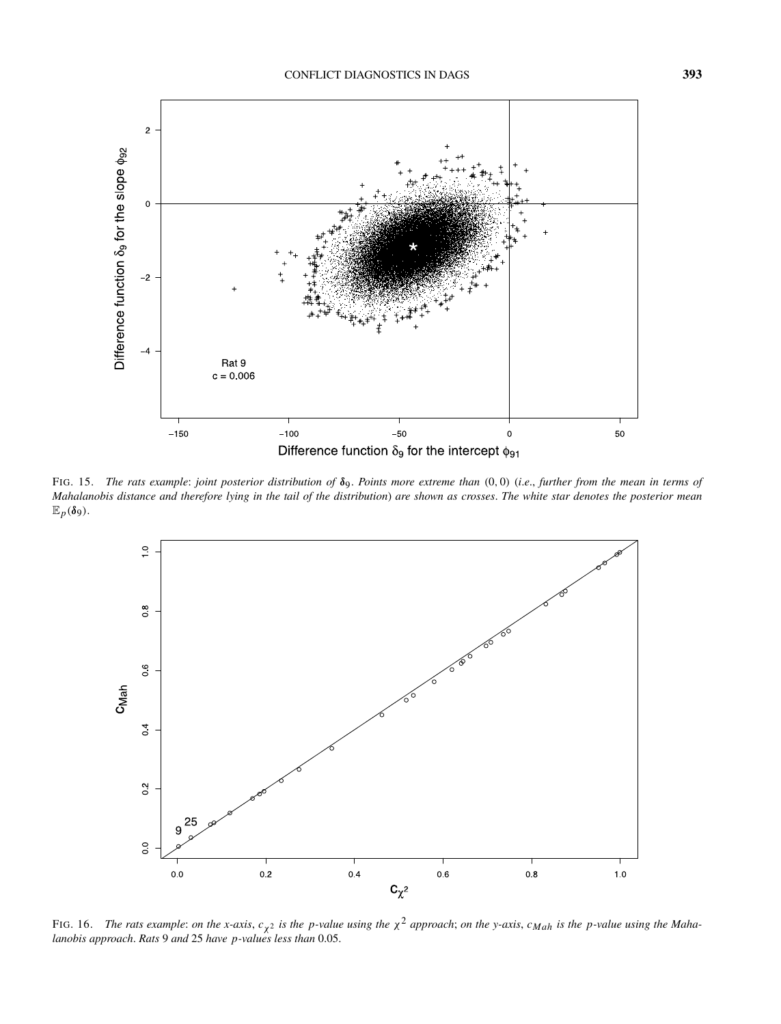<span id="page-17-0"></span>

FIG. 15. *The rats example*: *joint posterior distribution of δ*9. *Points more extreme than (*0*,* 0*)* (*i*.*e*., *further from the mean in terms of Mahalanobis distance and therefore lying in the tail of the distribution*) *are shown as crosses*. *The white star denotes the posterior mean*  $\mathbb{E}_p(\delta_9)$ .



FIG. 16. The rats example: on the x-axis,  $c_{\chi^2}$  is the p-value using the  $\chi^2$  approach; on the y-axis,  $c_{Mah}$  is the p-value using the Maha*lanobis approach*. *Rats* 9 *and* 25 *have p-values less than* 0.05.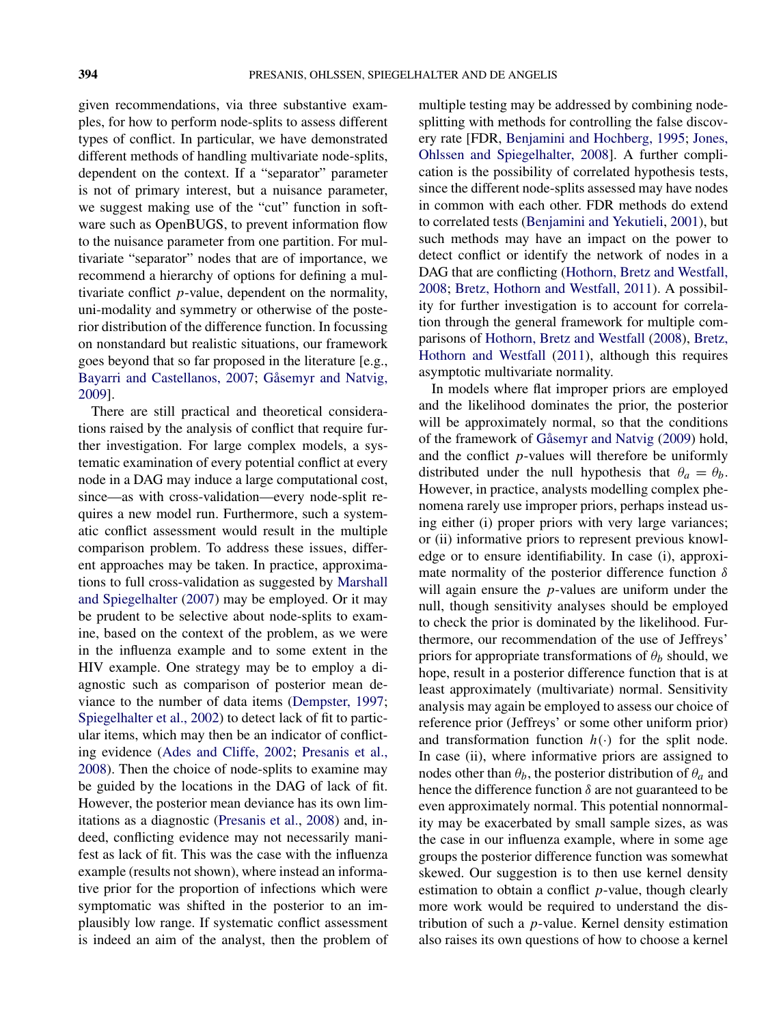given recommendations, via three substantive examples, for how to perform node-splits to assess different types of conflict. In particular, we have demonstrated different methods of handling multivariate node-splits, dependent on the context. If a "separator" parameter is not of primary interest, but a nuisance parameter, we suggest making use of the "cut" function in software such as OpenBUGS, to prevent information flow to the nuisance parameter from one partition. For multivariate "separator" nodes that are of importance, we recommend a hierarchy of options for defining a multivariate conflict *p*-value, dependent on the normality, uni-modality and symmetry or otherwise of the posterior distribution of the difference function. In focussing on nonstandard but realistic situations, our framework goes beyond that so far proposed in the literature [e.g., [Bayarri and Castellanos, 2007;](#page-19-0) [Gåsemyr and Natvig,](#page-20-0) [2009\]](#page-20-0).

There are still practical and theoretical considerations raised by the analysis of conflict that require further investigation. For large complex models, a systematic examination of every potential conflict at every node in a DAG may induce a large computational cost, since—as with cross-validation—every node-split requires a new model run. Furthermore, such a systematic conflict assessment would result in the multiple comparison problem. To address these issues, different approaches may be taken. In practice, approximations to full cross-validation as suggested by [Marshall](#page-20-0) [and Spiegelhalter](#page-20-0) [\(2007\)](#page-20-0) may be employed. Or it may be prudent to be selective about node-splits to examine, based on the context of the problem, as we were in the influenza example and to some extent in the HIV example. One strategy may be to employ a diagnostic such as comparison of posterior mean deviance to the number of data items [\(Dempster, 1997;](#page-20-0) [Spiegelhalter et al., 2002\)](#page-21-0) to detect lack of fit to particular items, which may then be an indicator of conflicting evidence [\(Ades and Cliffe, 2002;](#page-19-0) [Presanis et al.,](#page-20-0) [2008\)](#page-20-0). Then the choice of node-splits to examine may be guided by the locations in the DAG of lack of fit. However, the posterior mean deviance has its own limitations as a diagnostic [\(Presanis et al.,](#page-20-0) [2008\)](#page-20-0) and, indeed, conflicting evidence may not necessarily manifest as lack of fit. This was the case with the influenza example (results not shown), where instead an informative prior for the proportion of infections which were symptomatic was shifted in the posterior to an implausibly low range. If systematic conflict assessment is indeed an aim of the analyst, then the problem of multiple testing may be addressed by combining nodesplitting with methods for controlling the false discovery rate [FDR, [Benjamini and Hochberg, 1995;](#page-19-0) [Jones,](#page-20-0) [Ohlssen and Spiegelhalter, 2008\]](#page-20-0). A further complication is the possibility of correlated hypothesis tests, since the different node-splits assessed may have nodes in common with each other. FDR methods do extend to correlated tests [\(Benjamini and Yekutieli,](#page-19-0) [2001\)](#page-19-0), but such methods may have an impact on the power to detect conflict or identify the network of nodes in a DAG that are conflicting [\(Hothorn, Bretz and Westfall,](#page-20-0) [2008;](#page-20-0) [Bretz, Hothorn and Westfall, 2011\)](#page-19-0). A possibility for further investigation is to account for correlation through the general framework for multiple comparisons of [Hothorn, Bretz and Westfall](#page-20-0) [\(2008\)](#page-20-0), [Bretz,](#page-19-0) [Hothorn and Westfall](#page-19-0) [\(2011\)](#page-19-0), although this requires asymptotic multivariate normality.

In models where flat improper priors are employed and the likelihood dominates the prior, the posterior will be approximately normal, so that the conditions of the framework of [Gåsemyr and Natvig](#page-20-0) [\(2009\)](#page-20-0) hold, and the conflict *p*-values will therefore be uniformly distributed under the null hypothesis that  $\theta_a = \theta_b$ . However, in practice, analysts modelling complex phenomena rarely use improper priors, perhaps instead using either (i) proper priors with very large variances; or (ii) informative priors to represent previous knowledge or to ensure identifiability. In case (i), approximate normality of the posterior difference function *δ* will again ensure the *p*-values are uniform under the null, though sensitivity analyses should be employed to check the prior is dominated by the likelihood. Furthermore, our recommendation of the use of Jeffreys' priors for appropriate transformations of  $\theta_b$  should, we hope, result in a posterior difference function that is at least approximately (multivariate) normal. Sensitivity analysis may again be employed to assess our choice of reference prior (Jeffreys' or some other uniform prior) and transformation function  $h(\cdot)$  for the split node. In case (ii), where informative priors are assigned to nodes other than  $\theta_b$ , the posterior distribution of  $\theta_a$  and hence the difference function *δ* are not guaranteed to be even approximately normal. This potential nonnormality may be exacerbated by small sample sizes, as was the case in our influenza example, where in some age groups the posterior difference function was somewhat skewed. Our suggestion is to then use kernel density estimation to obtain a conflict *p*-value, though clearly more work would be required to understand the distribution of such a *p*-value. Kernel density estimation also raises its own questions of how to choose a kernel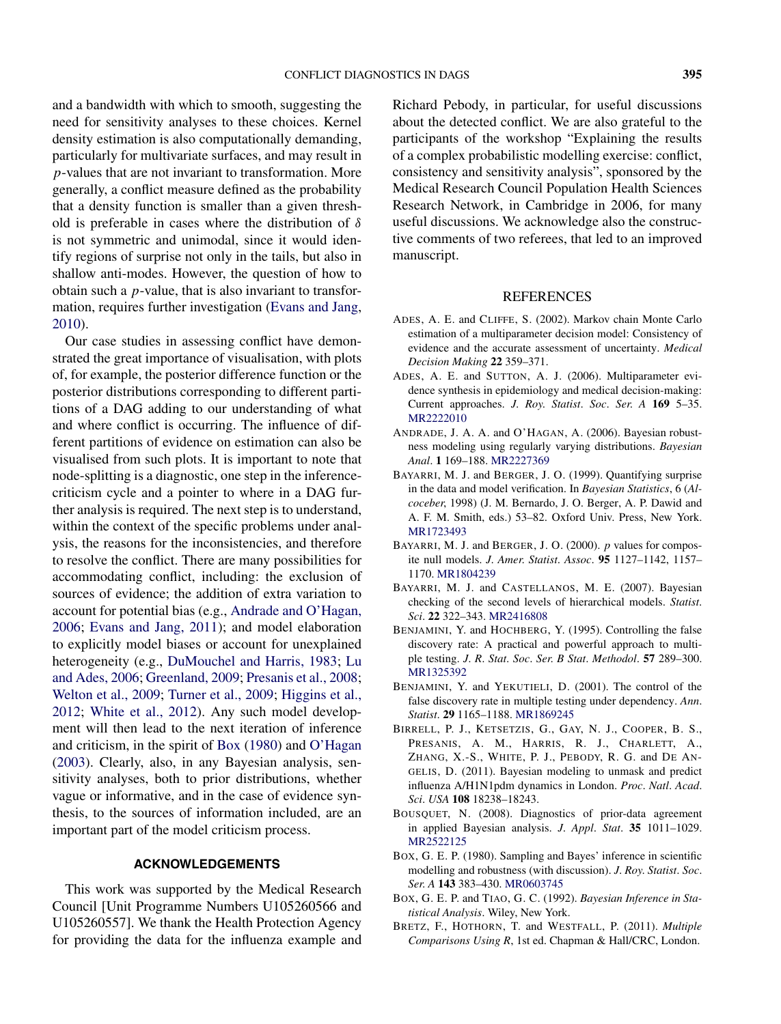<span id="page-19-0"></span>and a bandwidth with which to smooth, suggesting the need for sensitivity analyses to these choices. Kernel density estimation is also computationally demanding, particularly for multivariate surfaces, and may result in *p*-values that are not invariant to transformation. More generally, a conflict measure defined as the probability that a density function is smaller than a given threshold is preferable in cases where the distribution of *δ* is not symmetric and unimodal, since it would identify regions of surprise not only in the tails, but also in shallow anti-modes. However, the question of how to obtain such a *p*-value, that is also invariant to transformation, requires further investigation [\(Evans and Jang,](#page-20-0) [2010\)](#page-20-0).

Our case studies in assessing conflict have demonstrated the great importance of visualisation, with plots of, for example, the posterior difference function or the posterior distributions corresponding to different partitions of a DAG adding to our understanding of what and where conflict is occurring. The influence of different partitions of evidence on estimation can also be visualised from such plots. It is important to note that node-splitting is a diagnostic, one step in the inferencecriticism cycle and a pointer to where in a DAG further analysis is required. The next step is to understand, within the context of the specific problems under analysis, the reasons for the inconsistencies, and therefore to resolve the conflict. There are many possibilities for accommodating conflict, including: the exclusion of sources of evidence; the addition of extra variation to account for potential bias (e.g., Andrade and O'Hagan, 2006; [Evans and Jang, 2011\)](#page-20-0); and model elaboration to explicitly model biases or account for unexplained heterogeneity (e.g., [DuMouchel and Harris, 1983;](#page-20-0) [Lu](#page-20-0) [and Ades, 2006;](#page-20-0) [Greenland, 2009;](#page-20-0) [Presanis et al., 2008;](#page-20-0) [Welton et al., 2009;](#page-21-0) [Turner et al., 2009;](#page-21-0) [Higgins et al.,](#page-20-0) [2012;](#page-20-0) [White et al., 2012\)](#page-21-0). Any such model development will then lead to the next iteration of inference and criticism, in the spirit of Box (1980) and [O'Hagan](#page-20-0) [\(2003\)](#page-20-0). Clearly, also, in any Bayesian analysis, sensitivity analyses, both to prior distributions, whether vague or informative, and in the case of evidence synthesis, to the sources of information included, are an important part of the model criticism process.

#### **ACKNOWLEDGEMENTS**

This work was supported by the Medical Research Council [Unit Programme Numbers U105260566 and U105260557]. We thank the Health Protection Agency for providing the data for the influenza example and Richard Pebody, in particular, for useful discussions about the detected conflict. We are also grateful to the participants of the workshop "Explaining the results of a complex probabilistic modelling exercise: conflict, consistency and sensitivity analysis", sponsored by the Medical Research Council Population Health Sciences Research Network, in Cambridge in 2006, for many useful discussions. We acknowledge also the constructive comments of two referees, that led to an improved manuscript.

#### REFERENCES

- ADES, A. E. and CLIFFE, S. (2002). Markov chain Monte Carlo estimation of a multiparameter decision model: Consistency of evidence and the accurate assessment of uncertainty. *Medical Decision Making* **22** 359–371.
- ADES, A. E. and SUTTON, A. J. (2006). Multiparameter evidence synthesis in epidemiology and medical decision-making: Current approaches. *J*. *Roy*. *Statist*. *Soc*. *Ser*. *A* **169** 5–35. [MR2222010](http://www.ams.org/mathscinet-getitem?mr=2222010)
- ANDRADE, J. A. A. and O'HAGAN, A. (2006). Bayesian robustness modeling using regularly varying distributions. *Bayesian Anal*. **1** 169–188. [MR2227369](http://www.ams.org/mathscinet-getitem?mr=2227369)
- BAYARRI, M. J. and BERGER, J. O. (1999). Quantifying surprise in the data and model verification. In *Bayesian Statistics*,6(*Alcoceber*, 1998) (J. M. Bernardo, J. O. Berger, A. P. Dawid and A. F. M. Smith, eds.) 53–82. Oxford Univ. Press, New York. [MR1723493](http://www.ams.org/mathscinet-getitem?mr=1723493)
- BAYARRI, M. J. and BERGER, J. O. (2000). *p* values for composite null models. *J*. *Amer*. *Statist*. *Assoc*. **95** 1127–1142, 1157– 1170. [MR1804239](http://www.ams.org/mathscinet-getitem?mr=1804239)
- BAYARRI, M. J. and CASTELLANOS, M. E. (2007). Bayesian checking of the second levels of hierarchical models. *Statist*. *Sci*. **22** 322–343. [MR2416808](http://www.ams.org/mathscinet-getitem?mr=2416808)
- BENJAMINI, Y. and HOCHBERG, Y. (1995). Controlling the false discovery rate: A practical and powerful approach to multiple testing. *J*. *R*. *Stat*. *Soc*. *Ser*. *B Stat*. *Methodol*. **57** 289–300. [MR1325392](http://www.ams.org/mathscinet-getitem?mr=1325392)
- BENJAMINI, Y. and YEKUTIELI, D. (2001). The control of the false discovery rate in multiple testing under dependency. *Ann*. *Statist*. **29** 1165–1188. [MR1869245](http://www.ams.org/mathscinet-getitem?mr=1869245)
- BIRRELL, P. J., KETSETZIS, G., GAY, N. J., COOPER, B. S., PRESANIS, A. M., HARRIS, R. J., CHARLETT, A., ZHANG, X.-S., WHITE, P. J., PEBODY, R. G. and DE AN-GELIS, D. (2011). Bayesian modeling to unmask and predict influenza A/H1N1pdm dynamics in London. *Proc*. *Natl*. *Acad*. *Sci*. *USA* **108** 18238–18243.
- BOUSQUET, N. (2008). Diagnostics of prior-data agreement in applied Bayesian analysis. *J*. *Appl*. *Stat*. **35** 1011–1029. [MR2522125](http://www.ams.org/mathscinet-getitem?mr=2522125)
- BOX, G. E. P. (1980). Sampling and Bayes' inference in scientific modelling and robustness (with discussion). *J*. *Roy*. *Statist*. *Soc*. *Ser*. *A* **143** 383–430. [MR0603745](http://www.ams.org/mathscinet-getitem?mr=0603745)
- BOX, G. E. P. and TIAO, G. C. (1992). *Bayesian Inference in Statistical Analysis*. Wiley, New York.
- BRETZ, F., HOTHORN, T. and WESTFALL, P. (2011). *Multiple Comparisons Using R*, 1st ed. Chapman & Hall/CRC, London.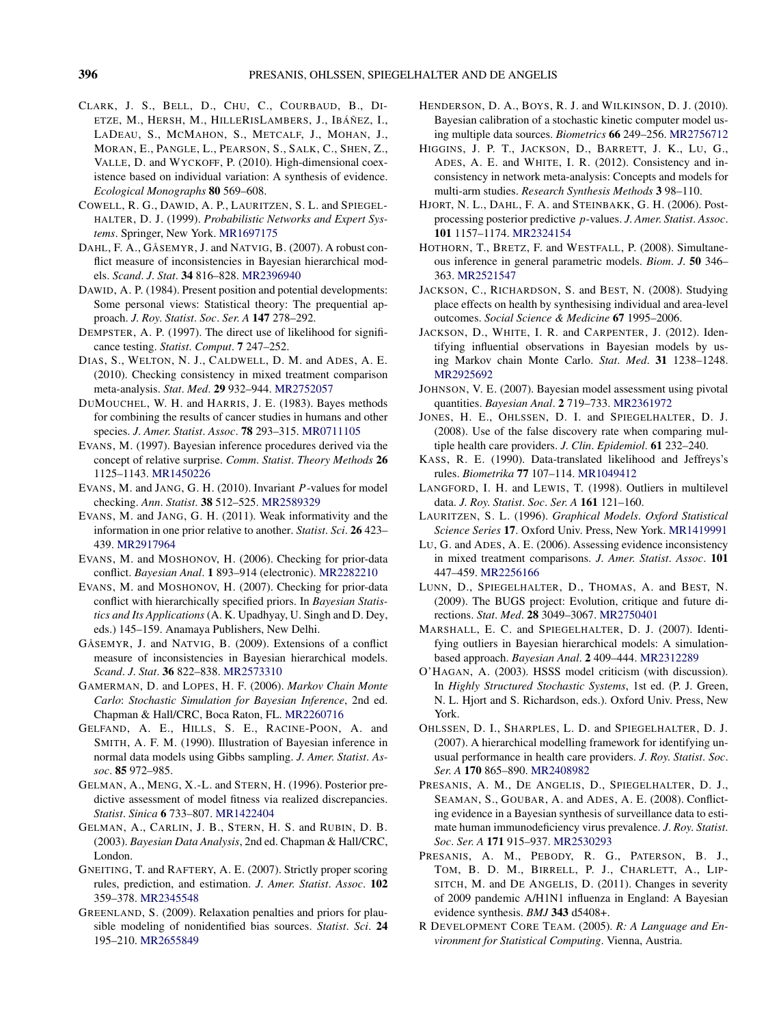- <span id="page-20-0"></span>CLARK, J. S., BELL, D., CHU, C., COURBAUD, B., DI-ETZE, M., HERSH, M., HILLERISLAMBERS, J., IBÁÑEZ, I., LADEAU, S., MCMAHON, S., METCALF, J., MOHAN, J., MORAN, E., PANGLE, L., PEARSON, S., SALK, C., SHEN, Z., VALLE, D. and WYCKOFF, P. (2010). High-dimensional coexistence based on individual variation: A synthesis of evidence. *Ecological Monographs* **80** 569–608.
- COWELL, R. G., DAWID, A. P., LAURITZEN, S. L. and SPIEGEL-HALTER, D. J. (1999). *Probabilistic Networks and Expert Systems*. Springer, New York. [MR1697175](http://www.ams.org/mathscinet-getitem?mr=1697175)
- DAHL, F. A., GÅSEMYR, J. and NATVIG, B. (2007). A robust conflict measure of inconsistencies in Bayesian hierarchical models. *Scand*. *J*. *Stat*. **34** 816–828. [MR2396940](http://www.ams.org/mathscinet-getitem?mr=2396940)
- DAWID, A. P. (1984). Present position and potential developments: Some personal views: Statistical theory: The prequential approach. *J*. *Roy*. *Statist*. *Soc*. *Ser*. *A* **147** 278–292.
- DEMPSTER, A. P. (1997). The direct use of likelihood for significance testing. *Statist*. *Comput*. **7** 247–252.
- DIAS, S., WELTON, N. J., CALDWELL, D. M. and ADES, A. E. (2010). Checking consistency in mixed treatment comparison meta-analysis. *Stat*. *Med*. **29** 932–944. [MR2752057](http://www.ams.org/mathscinet-getitem?mr=2752057)
- DUMOUCHEL, W. H. and HARRIS, J. E. (1983). Bayes methods for combining the results of cancer studies in humans and other species. *J*. *Amer*. *Statist*. *Assoc*. **78** 293–315. [MR0711105](http://www.ams.org/mathscinet-getitem?mr=0711105)
- EVANS, M. (1997). Bayesian inference procedures derived via the concept of relative surprise. *Comm*. *Statist*. *Theory Methods* **26** 1125–1143. [MR1450226](http://www.ams.org/mathscinet-getitem?mr=1450226)
- EVANS, M. and JANG, G. H. (2010). Invariant *P* -values for model checking. *Ann*. *Statist*. **38** 512–525. [MR2589329](http://www.ams.org/mathscinet-getitem?mr=2589329)
- EVANS, M. and JANG, G. H. (2011). Weak informativity and the information in one prior relative to another. *Statist*. *Sci*. **26** 423– 439. [MR2917964](http://www.ams.org/mathscinet-getitem?mr=2917964)
- EVANS, M. and MOSHONOV, H. (2006). Checking for prior-data conflict. *Bayesian Anal*. **1** 893–914 (electronic). [MR2282210](http://www.ams.org/mathscinet-getitem?mr=2282210)
- EVANS, M. and MOSHONOV, H. (2007). Checking for prior-data conflict with hierarchically specified priors. In *Bayesian Statistics and Its Applications* (A. K. Upadhyay, U. Singh and D. Dey, eds.) 145–159. Anamaya Publishers, New Delhi.
- GÅSEMYR, J. and NATVIG, B. (2009). Extensions of a conflict measure of inconsistencies in Bayesian hierarchical models. *Scand*. *J*. *Stat*. **36** 822–838. [MR2573310](http://www.ams.org/mathscinet-getitem?mr=2573310)
- GAMERMAN, D. and LOPES, H. F. (2006). *Markov Chain Monte Carlo*: *Stochastic Simulation for Bayesian Inference*, 2nd ed. Chapman & Hall/CRC, Boca Raton, FL. [MR2260716](http://www.ams.org/mathscinet-getitem?mr=2260716)
- GELFAND, A. E., HILLS, S. E., RACINE-POON, A. and SMITH, A. F. M. (1990). Illustration of Bayesian inference in normal data models using Gibbs sampling. *J*. *Amer*. *Statist*. *Assoc*. **85** 972–985.
- GELMAN, A., MENG, X.-L. and STERN, H. (1996). Posterior predictive assessment of model fitness via realized discrepancies. *Statist*. *Sinica* **6** 733–807. [MR1422404](http://www.ams.org/mathscinet-getitem?mr=1422404)
- GELMAN, A., CARLIN, J. B., STERN, H. S. and RUBIN, D. B. (2003). *Bayesian Data Analysis*, 2nd ed. Chapman & Hall/CRC, London.
- GNEITING, T. and RAFTERY, A. E. (2007). Strictly proper scoring rules, prediction, and estimation. *J*. *Amer*. *Statist*. *Assoc*. **102** 359–378. [MR2345548](http://www.ams.org/mathscinet-getitem?mr=2345548)
- GREENLAND, S. (2009). Relaxation penalties and priors for plausible modeling of nonidentified bias sources. *Statist*. *Sci*. **24** 195–210. [MR2655849](http://www.ams.org/mathscinet-getitem?mr=2655849)
- HENDERSON, D. A., BOYS, R. J. and WILKINSON, D. J. (2010). Bayesian calibration of a stochastic kinetic computer model using multiple data sources. *Biometrics* **66** 249–256. [MR2756712](http://www.ams.org/mathscinet-getitem?mr=2756712)
- HIGGINS, J. P. T., JACKSON, D., BARRETT, J. K., LU, G., ADES, A. E. and WHITE, I. R. (2012). Consistency and inconsistency in network meta-analysis: Concepts and models for multi-arm studies. *Research Synthesis Methods* **3** 98–110.
- HJORT, N. L., DAHL, F. A. and STEINBAKK, G. H. (2006). Postprocessing posterior predictive *p*-values. *J*. *Amer*. *Statist*. *Assoc*. **101** 1157–1174. [MR2324154](http://www.ams.org/mathscinet-getitem?mr=2324154)
- HOTHORN, T., BRETZ, F. and WESTFALL, P. (2008). Simultaneous inference in general parametric models. *Biom*. *J*. **50** 346– 363. [MR2521547](http://www.ams.org/mathscinet-getitem?mr=2521547)
- JACKSON, C., RICHARDSON, S. and BEST, N. (2008). Studying place effects on health by synthesising individual and area-level outcomes. *Social Science & Medicine* **67** 1995–2006.
- JACKSON, D., WHITE, I. R. and CARPENTER, J. (2012). Identifying influential observations in Bayesian models by using Markov chain Monte Carlo. *Stat*. *Med*. **31** 1238–1248. [MR2925692](http://www.ams.org/mathscinet-getitem?mr=2925692)
- JOHNSON, V. E. (2007). Bayesian model assessment using pivotal quantities. *Bayesian Anal*. **2** 719–733. [MR2361972](http://www.ams.org/mathscinet-getitem?mr=2361972)
- JONES, H. E., OHLSSEN, D. I. and SPIEGELHALTER, D. J. (2008). Use of the false discovery rate when comparing multiple health care providers. *J*. *Clin*. *Epidemiol*. **61** 232–240.
- KASS, R. E. (1990). Data-translated likelihood and Jeffreys's rules. *Biometrika* **77** 107–114. [MR1049412](http://www.ams.org/mathscinet-getitem?mr=1049412)
- LANGFORD, I. H. and LEWIS, T. (1998). Outliers in multilevel data. *J*. *Roy*. *Statist*. *Soc*. *Ser*. *A* **161** 121–160.
- LAURITZEN, S. L. (1996). *Graphical Models*. *Oxford Statistical Science Series* **17**. Oxford Univ. Press, New York. [MR1419991](http://www.ams.org/mathscinet-getitem?mr=1419991)
- LU, G. and ADES, A. E. (2006). Assessing evidence inconsistency in mixed treatment comparisons. *J*. *Amer*. *Statist*. *Assoc*. **101** 447–459. [MR2256166](http://www.ams.org/mathscinet-getitem?mr=2256166)
- LUNN, D., SPIEGELHALTER, D., THOMAS, A. and BEST, N. (2009). The BUGS project: Evolution, critique and future directions. *Stat*. *Med*. **28** 3049–3067. [MR2750401](http://www.ams.org/mathscinet-getitem?mr=2750401)
- MARSHALL, E. C. and SPIEGELHALTER, D. J. (2007). Identifying outliers in Bayesian hierarchical models: A simulationbased approach. *Bayesian Anal*. **2** 409–444. [MR2312289](http://www.ams.org/mathscinet-getitem?mr=2312289)
- O'HAGAN, A. (2003). HSSS model criticism (with discussion). In *Highly Structured Stochastic Systems*, 1st ed. (P. J. Green, N. L. Hjort and S. Richardson, eds.). Oxford Univ. Press, New York.
- OHLSSEN, D. I., SHARPLES, L. D. and SPIEGELHALTER, D. J. (2007). A hierarchical modelling framework for identifying unusual performance in health care providers. *J*. *Roy*. *Statist*. *Soc*. *Ser*. *A* **170** 865–890. [MR2408982](http://www.ams.org/mathscinet-getitem?mr=2408982)
- PRESANIS, A. M., DE ANGELIS, D., SPIEGELHALTER, D. J., SEAMAN, S., GOUBAR, A. and ADES, A. E. (2008). Conflicting evidence in a Bayesian synthesis of surveillance data to estimate human immunodeficiency virus prevalence. *J*. *Roy*. *Statist*. *Soc*. *Ser*. *A* **171** 915–937. [MR2530293](http://www.ams.org/mathscinet-getitem?mr=2530293)
- PRESANIS, A. M., PEBODY, R. G., PATERSON, B. J., TOM, B. D. M., BIRRELL, P. J., CHARLETT, A., LIP-SITCH, M. and DE ANGELIS, D. (2011). Changes in severity of 2009 pandemic A/H1N1 influenza in England: A Bayesian evidence synthesis. *BMJ* **343** d5408+.
- R DEVELOPMENT CORE TEAM. (2005). *R: A Language and Environment for Statistical Computing*. Vienna, Austria.